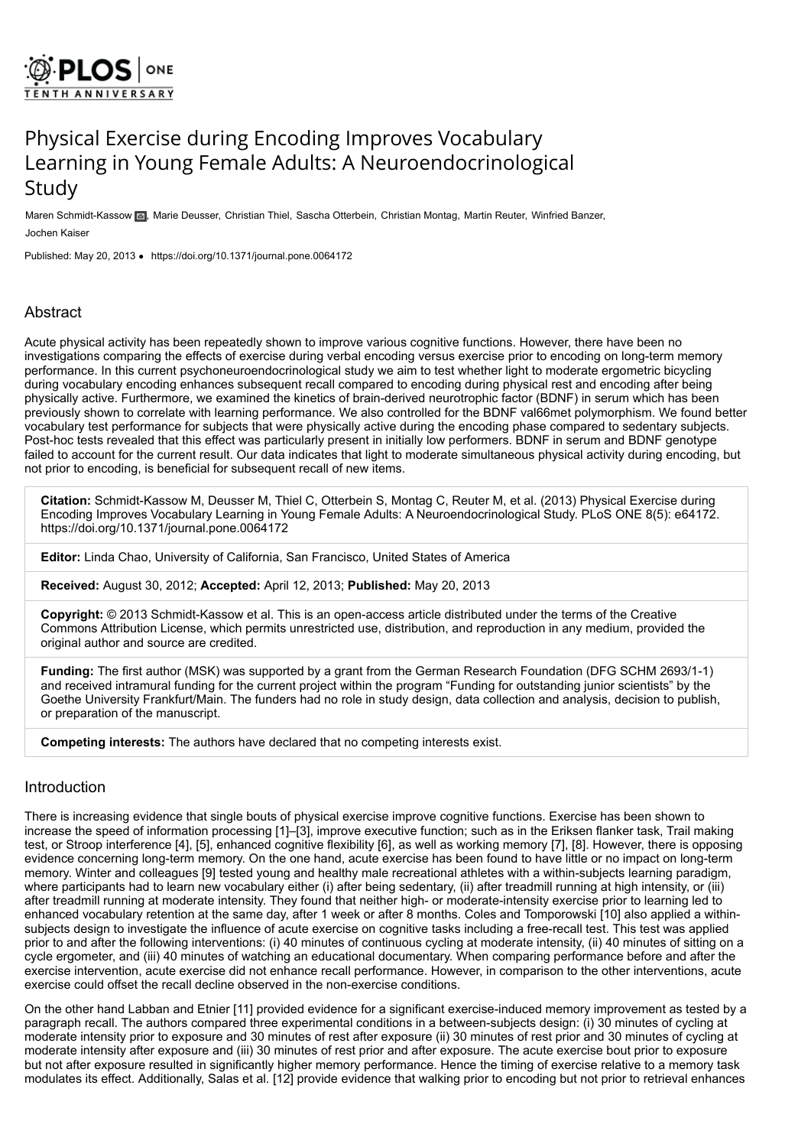

# Physical Exercise during Encoding Improves Vocabulary Learning in Young Female Adults: A Neuroendocrinological Study

Maren Schmidt-Kassow <sub>(2)</sub>, Marie Deusser, Christian Thiel, Sascha Otterbein, Christian Montag, Martin Reuter, Winfried Banzer, Jochen Kaiser

Published: May 20, 2013 • <https://doi.org/10.1371/journal.pone.0064172>

# Abstract

Acute physical activity has been repeatedly shown to improve various cognitive functions. However, there have been no investigations comparing the effects of exercise during verbal encoding versus exercise prior to encoding on long-term memory performance. In this current psychoneuroendocrinological study we aim to test whether light to moderate ergometric bicycling during vocabulary encoding enhances subsequent recall compared to encoding during physical rest and encoding after being physically active. Furthermore, we examined the kinetics of brain-derived neurotrophic factor (BDNF) in serum which has been previously shown to correlate with learning performance. We also controlled for the BDNF val66met polymorphism. We found better vocabulary test performance for subjects that were physically active during the encoding phase compared to sedentary subjects. Post-hoc tests revealed that this effect was particularly present in initially low performers. BDNF in serum and BDNF genotype failed to account for the current result. Our data indicates that light to moderate simultaneous physical activity during encoding, but not prior to encoding, is beneficial for subsequent recall of new items.

**Citation:** Schmidt-Kassow M, Deusser M, Thiel C, Otterbein S, Montag C, Reuter M, et al. (2013) Physical Exercise during Encoding Improves Vocabulary Learning in Young Female Adults: A Neuroendocrinological Study. PLoS ONE 8(5): e64172. https://doi.org/10.1371/journal.pone.0064172

**Editor:** Linda Chao, University of California, San Francisco, United States of America

**Received:** August 30, 2012; **Accepted:** April 12, 2013; **Published:** May 20, 2013

**Copyright:** © 2013 Schmidt-Kassow et al. This is an open-access article distributed under the terms of the Creative Commons Attribution License, which permits unrestricted use, distribution, and reproduction in any medium, provided the original author and source are credited.

**Funding:** The first author (MSK) was supported by a grant from the German Research Foundation (DFG SCHM 2693/1-1) and received intramural funding for the current project within the program "Funding for outstanding junior scientists" by the Goethe University Frankfurt/Main. The funders had no role in study design, data collection and analysis, decision to publish, or preparation of the manuscript.

**Competing interests:** The authors have declared that no competing interests exist.

# Introduction

There is increasing evidence that single bouts of physical exercise improve cognitive functions. Exercise has been shown to increase the speed of information processing [\[1\]–](http://journals.plos.org/plosone/article?id=10.1371/journal.pone.0064172#pone.0064172-Audiffren1)[\[3\]](http://journals.plos.org/plosone/article?id=10.1371/journal.pone.0064172#pone.0064172-McMorris1), improve executive function; such as in the Eriksen flanker task, Trail making test, or Stroop interference [\[4\],](http://journals.plos.org/plosone/article?id=10.1371/journal.pone.0064172#pone.0064172-Chang1) [\[5\]](http://journals.plos.org/plosone/article?id=10.1371/journal.pone.0064172#pone.0064172-Chang2), enhanced cognitive flexibility [\[6\]](http://journals.plos.org/plosone/article?id=10.1371/journal.pone.0064172#pone.0064172-Netz1), as well as working memory [\[7\],](http://journals.plos.org/plosone/article?id=10.1371/journal.pone.0064172#pone.0064172-Pontifex1) [\[8\]](http://journals.plos.org/plosone/article?id=10.1371/journal.pone.0064172#pone.0064172-Sibley1). However, there is opposing evidence concerning long-term memory. On the one hand, acute exercise has been found to have little or no impact on long-term memory. Winter and colleagues [\[9\]](http://journals.plos.org/plosone/article?id=10.1371/journal.pone.0064172#pone.0064172-Winter1) tested young and healthy male recreational athletes with a within-subjects learning paradigm, where participants had to learn new vocabulary either (i) after being sedentary, (ii) after treadmill running at high intensity, or (iii) after treadmill running at moderate intensity. They found that neither high- or moderate-intensity exercise prior to learning led to enhanced vocabulary retention at the same day, after 1 week or after 8 months. Coles and Tomporowski [\[10\]](http://journals.plos.org/plosone/article?id=10.1371/journal.pone.0064172#pone.0064172-Coles1) also applied a withinsubjects design to investigate the influence of acute exercise on cognitive tasks including a free-recall test. This test was applied prior to and after the following interventions: (i) 40 minutes of continuous cycling at moderate intensity, (ii) 40 minutes of sitting on a cycle ergometer, and (iii) 40 minutes of watching an educational documentary. When comparing performance before and after the exercise intervention, acute exercise did not enhance recall performance. However, in comparison to the other interventions, acute exercise could offset the recall decline observed in the non-exercise conditions.

On the other hand Labban and Etnier [\[11\]](http://journals.plos.org/plosone/article?id=10.1371/journal.pone.0064172#pone.0064172-Labban1) provided evidence for a significant exercise-induced memory improvement as tested by a paragraph recall. The authors compared three experimental conditions in a between-subjects design: (i) 30 minutes of cycling at moderate intensity prior to exposure and 30 minutes of rest after exposure (ii) 30 minutes of rest prior and 30 minutes of cycling at moderate intensity after exposure and (iii) 30 minutes of rest prior and after exposure. The acute exercise bout prior to exposure but not after exposure resulted in significantly higher memory performance. Hence the timing of exercise relative to a memory task modulates its effect. Additionally, Salas et al. [\[12\]](http://journals.plos.org/plosone/article?id=10.1371/journal.pone.0064172#pone.0064172-Salas1) provide evidence that walking prior to encoding but not prior to retrieval enhances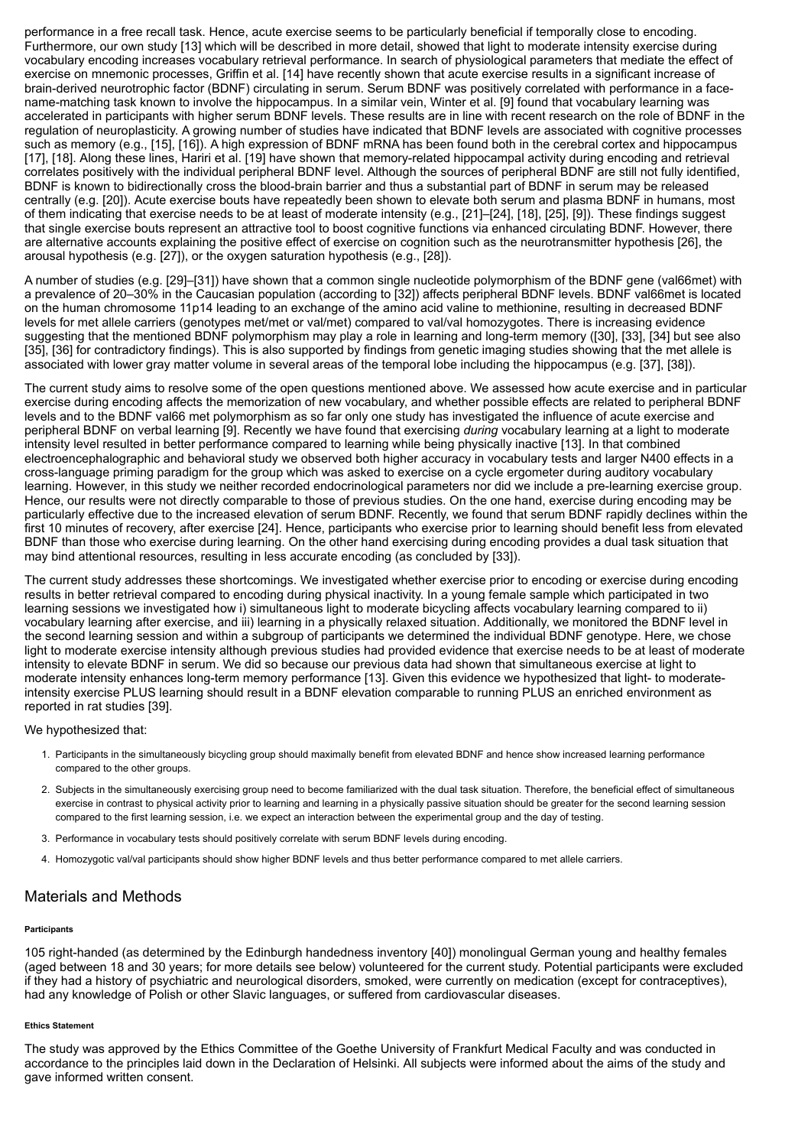performance in a free recall task. Hence, acute exercise seems to be particularly beneficial if temporally close to encoding. Furthermore, our own study [\[13\]](http://journals.plos.org/plosone/article?id=10.1371/journal.pone.0064172#pone.0064172-SchmidtKassow1) which will be described in more detail, showed that light to moderate intensity exercise during vocabulary encoding increases vocabulary retrieval performance. In search of physiological parameters that mediate the effect of exercise on mnemonic processes, Griffin et al. [\[14\]](http://journals.plos.org/plosone/article?id=10.1371/journal.pone.0064172#pone.0064172-Griffin1) have recently shown that acute exercise results in a significant increase of brain-derived neurotrophic factor (BDNF) circulating in serum. Serum BDNF was positively correlated with performance in a facename-matching task known to involve the hippocampus. In a similar vein, Winter et al. [\[9\]](http://journals.plos.org/plosone/article?id=10.1371/journal.pone.0064172#pone.0064172-Winter1) found that vocabulary learning was accelerated in participants with higher serum BDNF levels. These results are in line with recent research on the role of BDNF in the regulation of neuroplasticity. A growing number of studies have indicated that BDNF levels are associated with cognitive processes such as memory (e.g., [\[15\]](http://journals.plos.org/plosone/article?id=10.1371/journal.pone.0064172#pone.0064172-Bekinschtein1), [\[16\]](http://journals.plos.org/plosone/article?id=10.1371/journal.pone.0064172#pone.0064172-Laing1)). A high expression of BDNF mRNA has been found both in the cerebral cortex and hippocampus [\[17\]](http://journals.plos.org/plosone/article?id=10.1371/journal.pone.0064172#pone.0064172-Cotman1), [\[18\]](http://journals.plos.org/plosone/article?id=10.1371/journal.pone.0064172#pone.0064172-Seifert1). Along these lines, Hariri et al. [\[19\]](http://journals.plos.org/plosone/article?id=10.1371/journal.pone.0064172#pone.0064172-Hariri1) have shown that memory-related hippocampal activity during encoding and retrieval correlates positively with the individual peripheral BDNF level. Although the sources of peripheral BDNF are still not fully identified, BDNF is known to bidirectionally cross the blood-brain barrier and thus a substantial part of BDNF in serum may be released centrally (e.g. [\[20\]](http://journals.plos.org/plosone/article?id=10.1371/journal.pone.0064172#pone.0064172-Pan1)). Acute exercise bouts have repeatedly been shown to elevate both serum and plasma BDNF in humans, most of them indicating that exercise needs to be at least of moderate intensity (e.g., [\[21\]–](http://journals.plos.org/plosone/article?id=10.1371/journal.pone.0064172#pone.0064172-Ferris1)[\[24\],](http://journals.plos.org/plosone/article?id=10.1371/journal.pone.0064172#pone.0064172-SchmidtKassow2) [\[18\]](http://journals.plos.org/plosone/article?id=10.1371/journal.pone.0064172#pone.0064172-Seifert1), [\[25\]](http://journals.plos.org/plosone/article?id=10.1371/journal.pone.0064172#pone.0064172-Tang1), [\[9\]\)](http://journals.plos.org/plosone/article?id=10.1371/journal.pone.0064172#pone.0064172-Winter1). These findings suggest that single exercise bouts represent an attractive tool to boost cognitive functions via enhanced circulating BDNF. However, there are alternative accounts explaining the positive effect of exercise on cognition such as the neurotransmitter hypothesis [\[26\],](http://journals.plos.org/plosone/article?id=10.1371/journal.pone.0064172#pone.0064172-McMorris2) the arousal hypothesis (e.g. [\[27\]\)](http://journals.plos.org/plosone/article?id=10.1371/journal.pone.0064172#pone.0064172-Kahneman1), or the oxygen saturation hypothesis (e.g., [\[28\]](http://journals.plos.org/plosone/article?id=10.1371/journal.pone.0064172#pone.0064172-Kramer1)).

A number of studies (e.g. [\[29\]](http://journals.plos.org/plosone/article?id=10.1371/journal.pone.0064172#pone.0064172-Chen1)[–\[31\]\)](http://journals.plos.org/plosone/article?id=10.1371/journal.pone.0064172#pone.0064172-Ozan1) have shown that a common single nucleotide polymorphism of the BDNF gene (val66met) with a prevalence of 20–30% in the Caucasian population (according to [\[32\]\)](http://journals.plos.org/plosone/article?id=10.1371/journal.pone.0064172#pone.0064172-Shimizu1) affects peripheral BDNF levels. BDNF val66met is located on the human chromosome 11p14 leading to an exchange of the amino acid valine to methionine, resulting in decreased BDNF levels for met allele carriers (genotypes met/met or val/met) compared to val/val homozygotes. There is increasing evidence suggesting that the mentioned BDNF polymorphism may play a role in learning and long-term memory [\(\[30\]](http://journals.plos.org/plosone/article?id=10.1371/journal.pone.0064172#pone.0064172-Egan1), [\[33\],](http://journals.plos.org/plosone/article?id=10.1371/journal.pone.0064172#pone.0064172-Hopkins1) [\[34\]](http://journals.plos.org/plosone/article?id=10.1371/journal.pone.0064172#pone.0064172-Miyajima1) but see also [\[35\]](http://journals.plos.org/plosone/article?id=10.1371/journal.pone.0064172#pone.0064172-Dennis1), [\[36\]](http://journals.plos.org/plosone/article?id=10.1371/journal.pone.0064172#pone.0064172-Mandelman1) for contradictory findings). This is also supported by findings from genetic imaging studies showing that the met allele is associated with lower gray matter volume in several areas of the temporal lobe including the hippocampus (e.g. [\[37\],](http://journals.plos.org/plosone/article?id=10.1371/journal.pone.0064172#pone.0064172-Montag1) [\[38\]](http://journals.plos.org/plosone/article?id=10.1371/journal.pone.0064172#pone.0064172-Pezawas1)).

The current study aims to resolve some of the open questions mentioned above. We assessed how acute exercise and in particular exercise during encoding affects the memorization of new vocabulary, and whether possible effects are related to peripheral BDNF levels and to the BDNF val66 met polymorphism as so far only one study has investigated the influence of acute exercise and peripheral BDNF on verbal learning [\[9\].](http://journals.plos.org/plosone/article?id=10.1371/journal.pone.0064172#pone.0064172-Winter1) Recently we have found that exercising *during* vocabulary learning at a light to moderate intensity level resulted in better performance compared to learning while being physically inactive [\[13\]](http://journals.plos.org/plosone/article?id=10.1371/journal.pone.0064172#pone.0064172-SchmidtKassow1). In that combined electroencephalographic and behavioral study we observed both higher accuracy in vocabulary tests and larger N400 effects in a cross-language priming paradigm for the group which was asked to exercise on a cycle ergometer during auditory vocabulary learning. However, in this study we neither recorded endocrinological parameters nor did we include a pre-learning exercise group. Hence, our results were not directly comparable to those of previous studies. On the one hand, exercise during encoding may be particularly effective due to the increased elevation of serum BDNF. Recently, we found that serum BDNF rapidly declines within the first 10 minutes of recovery, after exercise [\[24\].](http://journals.plos.org/plosone/article?id=10.1371/journal.pone.0064172#pone.0064172-SchmidtKassow2) Hence, participants who exercise prior to learning should benefit less from elevated BDNF than those who exercise during learning. On the other hand exercising during encoding provides a dual task situation that may bind attentional resources, resulting in less accurate encoding (as concluded by [\[33\]\)](http://journals.plos.org/plosone/article?id=10.1371/journal.pone.0064172#pone.0064172-Hopkins1).

The current study addresses these shortcomings. We investigated whether exercise prior to encoding or exercise during encoding results in better retrieval compared to encoding during physical inactivity. In a young female sample which participated in two learning sessions we investigated how i) simultaneous light to moderate bicycling affects vocabulary learning compared to ii) vocabulary learning after exercise, and iii) learning in a physically relaxed situation. Additionally, we monitored the BDNF level in the second learning session and within a subgroup of participants we determined the individual BDNF genotype. Here, we chose light to moderate exercise intensity although previous studies had provided evidence that exercise needs to be at least of moderate intensity to elevate BDNF in serum. We did so because our previous data had shown that simultaneous exercise at light to moderate intensity enhances long-term memory performance [\[13\].](http://journals.plos.org/plosone/article?id=10.1371/journal.pone.0064172#pone.0064172-SchmidtKassow1) Given this evidence we hypothesized that light- to moderateintensity exercise PLUS learning should result in a BDNF elevation comparable to running PLUS an enriched environment as reported in rat studies [\[39\]](http://journals.plos.org/plosone/article?id=10.1371/journal.pone.0064172#pone.0064172-PraagH1).

### We hypothesized that:

- 1. Participants in the simultaneously bicycling group should maximally benefit from elevated BDNF and hence show increased learning performance compared to the other groups.
- 2. Subjects in the simultaneously exercising group need to become familiarized with the dual task situation. Therefore, the beneficial effect of simultaneous exercise in contrast to physical activity prior to learning and learning in a physically passive situation should be greater for the second learning session compared to the first learning session, i.e. we expect an interaction between the experimental group and the day of testing.
- 3. Performance in vocabulary tests should positively correlate with serum BDNF levels during encoding.
- 4. Homozygotic val/val participants should show higher BDNF levels and thus better performance compared to met allele carriers.

# Materials and Methods

#### **Participants**

105 right-handed (as determined by the Edinburgh handedness inventory [\[40\]\)](http://journals.plos.org/plosone/article?id=10.1371/journal.pone.0064172#pone.0064172-Oldfield1) monolingual German young and healthy females (aged between 18 and 30 years; for more details see below) volunteered for the current study. Potential participants were excluded if they had a history of psychiatric and neurological disorders, smoked, were currently on medication (except for contraceptives), had any knowledge of Polish or other Slavic languages, or suffered from cardiovascular diseases.

#### **Ethics Statement**

The study was approved by the Ethics Committee of the Goethe University of Frankfurt Medical Faculty and was conducted in accordance to the principles laid down in the Declaration of Helsinki. All subjects were informed about the aims of the study and gave informed written consent.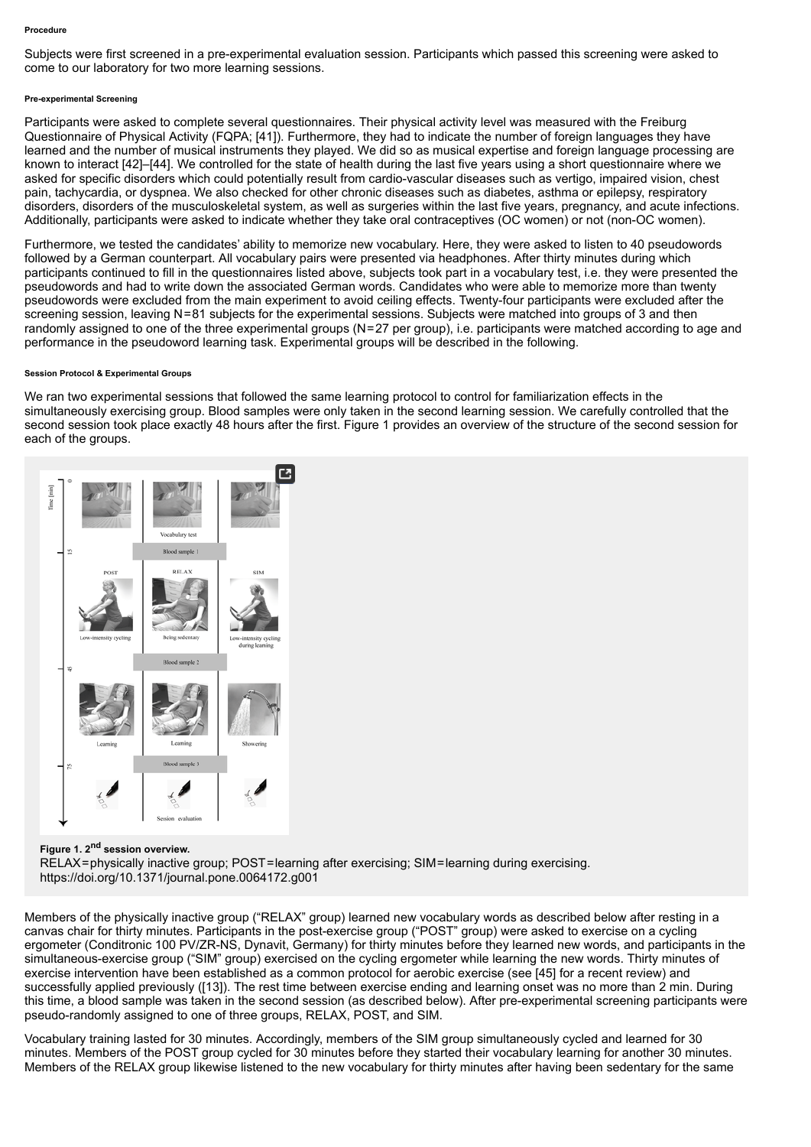#### **Procedure**

Subjects were first screened in a pre-experimental evaluation session. Participants which passed this screening were asked to come to our laboratory for two more learning sessions.

#### **Pre-experimental Screening**

Participants were asked to complete several questionnaires. Their physical activity level was measured with the Freiburg Questionnaire of Physical Activity (FQPA; [\[41\]](http://journals.plos.org/plosone/article?id=10.1371/journal.pone.0064172#pone.0064172-Frey1)). Furthermore, they had to indicate the number of foreign languages they have learned and the number of musical instruments they played. We did so as musical expertise and foreign language processing are known to interact [\[42\]–](http://journals.plos.org/plosone/article?id=10.1371/journal.pone.0064172#pone.0064172-Besson1)[\[44\]](http://journals.plos.org/plosone/article?id=10.1371/journal.pone.0064172#pone.0064172-Francois1). We controlled for the state of health during the last five years using a short questionnaire where we asked for specific disorders which could potentially result from cardio-vascular diseases such as vertigo, impaired vision, chest pain, tachycardia, or dyspnea. We also checked for other chronic diseases such as diabetes, asthma or epilepsy, respiratory disorders, disorders of the musculoskeletal system, as well as surgeries within the last five years, pregnancy, and acute infections. Additionally, participants were asked to indicate whether they take oral contraceptives (OC women) or not (non-OC women).

Furthermore, we tested the candidates' ability to memorize new vocabulary. Here, they were asked to listen to 40 pseudowords followed by a German counterpart. All vocabulary pairs were presented via headphones. After thirty minutes during which participants continued to fill in the questionnaires listed above, subjects took part in a vocabulary test, i.e. they were presented the pseudowords and had to write down the associated German words. Candidates who were able to memorize more than twenty pseudowords were excluded from the main experiment to avoid ceiling effects. Twenty-four participants were excluded after the screening session, leaving N=81 subjects for the experimental sessions. Subjects were matched into groups of 3 and then randomly assigned to one of the three experimental groups (N=27 per group), i.e. participants were matched according to age and performance in the pseudoword learning task. Experimental groups will be described in the following.

#### **Session Protocol & Experimental Groups**

We ran two experimental sessions that followed the same learning protocol to control for familiarization effects in the simultaneously exercising group. Blood samples were only taken in the second learning session. We carefully controlled that the second session took place exactly 48 hours after the first. [Figure 1](http://journals.plos.org/plosone/article?id=10.1371/journal.pone.0064172#pone-0064172-g001) provides an overview of the structure of the second session for each of the groups.



### Figure 1. 2<sup>nd</sup> session overview.

RELAX=physically inactive group; POST=learning after exercising; SIM=learning during exercising. <https://doi.org/10.1371/journal.pone.0064172.g001>

Members of the physically inactive group ("RELAX" group) learned new vocabulary words as described below after resting in a canvas chair for thirty minutes. Participants in the post-exercise group ("POST" group) were asked to exercise on a cycling ergometer (Conditronic 100 PV/ZR-NS, Dynavit, Germany) for thirty minutes before they learned new words, and participants in the simultaneous-exercise group ("SIM" group) exercised on the cycling ergometer while learning the new words. Thirty minutes of exercise intervention have been established as a common protocol for aerobic exercise (see [\[45\]](http://journals.plos.org/plosone/article?id=10.1371/journal.pone.0064172#pone.0064172-Knaepen1) for a recent review) and successfully applied previously ([\[13\]\)](http://journals.plos.org/plosone/article?id=10.1371/journal.pone.0064172#pone.0064172-SchmidtKassow1). The rest time between exercise ending and learning onset was no more than 2 min. During this time, a blood sample was taken in the second session (as described below). After pre-experimental screening participants were pseudo-randomly assigned to one of three groups, RELAX, POST, and SIM.

Vocabulary training lasted for 30 minutes. Accordingly, members of the SIM group simultaneously cycled and learned for 30 minutes. Members of the POST group cycled for 30 minutes before they started their vocabulary learning for another 30 minutes. Members of the RELAX group likewise listened to the new vocabulary for thirty minutes after having been sedentary for the same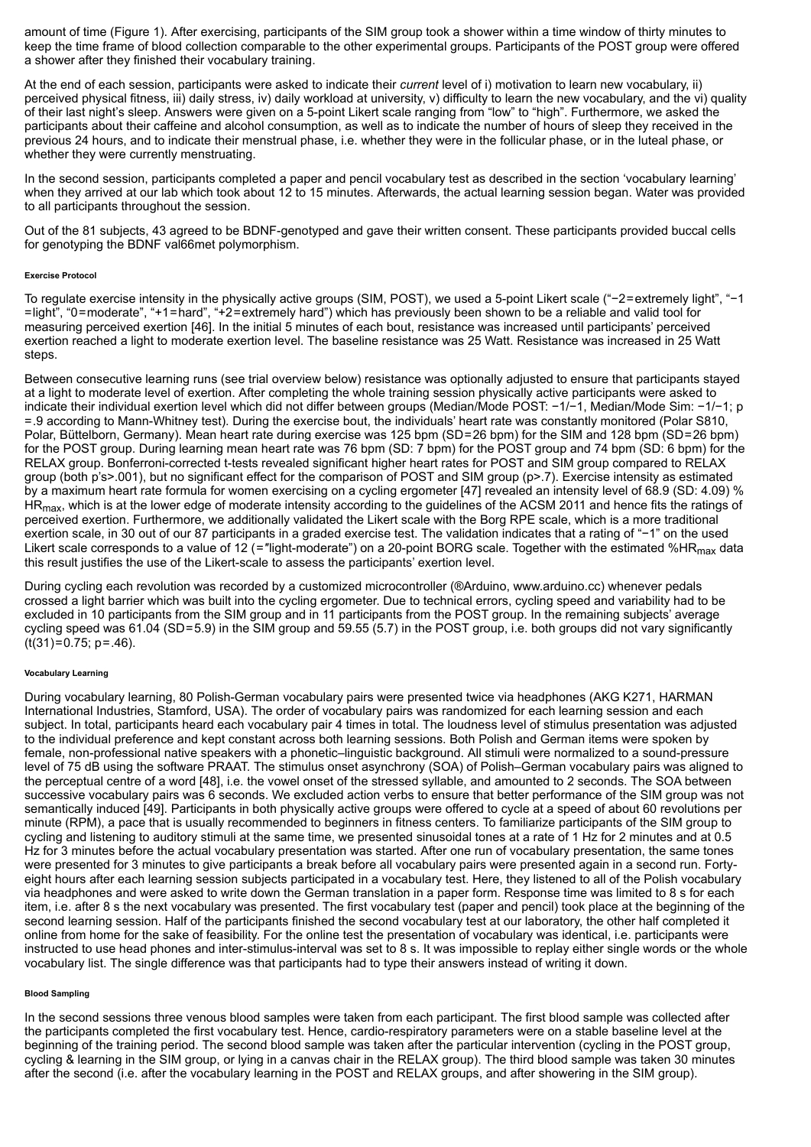amount of time ([Figure 1](http://journals.plos.org/plosone/article?id=10.1371/journal.pone.0064172#pone-0064172-g001)). After exercising, participants of the SIM group took a shower within a time window of thirty minutes to keep the time frame of blood collection comparable to the other experimental groups. Participants of the POST group were offered a shower after they finished their vocabulary training.

At the end of each session, participants were asked to indicate their *current* level of i) motivation to learn new vocabulary, ii) perceived physical fitness, iii) daily stress, iv) daily workload at university, v) difficulty to learn the new vocabulary, and the vi) quality of their last night's sleep. Answers were given on a 5-point Likert scale ranging from "low" to "high". Furthermore, we asked the participants about their caffeine and alcohol consumption, as well as to indicate the number of hours of sleep they received in the previous 24 hours, and to indicate their menstrual phase, i.e. whether they were in the follicular phase, or in the luteal phase, or whether they were currently menstruating.

In the second session, participants completed a paper and pencil vocabulary test as described in the section 'vocabulary learning' when they arrived at our lab which took about 12 to 15 minutes. Afterwards, the actual learning session began. Water was provided to all participants throughout the session.

Out of the 81 subjects, 43 agreed to be BDNF-genotyped and gave their written consent. These participants provided buccal cells for genotyping the BDNF val66met polymorphism.

#### **Exercise Protocol**

To regulate exercise intensity in the physically active groups (SIM, POST), we used a 5-point Likert scale ("−2=extremely light", "−1 =light", "0=moderate", "+1=hard", "+2=extremely hard") which has previously been shown to be a reliable and valid tool for measuring perceived exertion [\[46\].](http://journals.plos.org/plosone/article?id=10.1371/journal.pone.0064172#pone.0064172-Grant1) In the initial 5 minutes of each bout, resistance was increased until participants' perceived exertion reached a light to moderate exertion level. The baseline resistance was 25 Watt. Resistance was increased in 25 Watt steps.

Between consecutive learning runs (see trial overview below) resistance was optionally adjusted to ensure that participants stayed at a light to moderate level of exertion. After completing the whole training session physically active participants were asked to indicate their individual exertion level which did not differ between groups (Median/Mode POST: −1/−1, Median/Mode Sim: −1/−1; p =.9 according to Mann-Whitney test). During the exercise bout, the individuals' heart rate was constantly monitored (Polar S810, Polar, Büttelborn, Germany). Mean heart rate during exercise was 125 bpm (SD=26 bpm) for the SIM and 128 bpm (SD=26 bpm) for the POST group. During learning mean heart rate was 76 bpm (SD: 7 bpm) for the POST group and 74 bpm (SD: 6 bpm) for the RELAX group. Bonferroni-corrected t-tests revealed significant higher heart rates for POST and SIM group compared to RELAX group (both p's>.001), but no significant effect for the comparison of POST and SIM group (p>.7). Exercise intensity as estimated by a maximum heart rate formula for women exercising on a cycling ergometer [\[47\]](http://journals.plos.org/plosone/article?id=10.1371/journal.pone.0064172#pone.0064172-Farazdaghi1) revealed an intensity level of 68.9 (SD: 4.09) % HR $_{\rm max}$ , which is at the lower edge of moderate intensity according to the guidelines of the ACSM 2011 and hence fits the ratings of perceived exertion. Furthermore, we additionally validated the Likert scale with the Borg RPE scale, which is a more traditional exertion scale, in 30 out of our 87 participants in a graded exercise test. The validation indicates that a rating of "−1" on the used Likert scale corresponds to a value of 12 (="light-moderate") on a 20-point BORG scale. Together with the estimated %HR<sub>max</sub> data this result justifies the use of the Likert-scale to assess the participants' exertion level.

During cycling each revolution was recorded by a customized microcontroller (®Arduino, [www.arduino.cc\)](http://www.arduino.cc/) whenever pedals crossed a light barrier which was built into the cycling ergometer. Due to technical errors, cycling speed and variability had to be excluded in 10 participants from the SIM group and in 11 participants from the POST group. In the remaining subjects' average cycling speed was 61.04 (SD=5.9) in the SIM group and 59.55 (5.7) in the POST group, i.e. both groups did not vary significantly  $(t(31)=0.75; p=.46)$ .

#### **Vocabulary Learning**

During vocabulary learning, 80 Polish-German vocabulary pairs were presented twice via headphones (AKG K271, HARMAN International Industries, Stamford, USA). The order of vocabulary pairs was randomized for each learning session and each subject. In total, participants heard each vocabulary pair 4 times in total. The loudness level of stimulus presentation was adjusted to the individual preference and kept constant across both learning sessions. Both Polish and German items were spoken by female, non-professional native speakers with a phonetic–linguistic background. All stimuli were normalized to a sound-pressure level of 75 dB using the software PRAAT. The stimulus onset asynchrony (SOA) of Polish–German vocabulary pairs was aligned to the perceptual centre of a word [\[48\],](http://journals.plos.org/plosone/article?id=10.1371/journal.pone.0064172#pone.0064172-Janker1) i.e. the vowel onset of the stressed syllable, and amounted to 2 seconds. The SOA between successive vocabulary pairs was 6 seconds. We excluded action verbs to ensure that better performance of the SIM group was not semantically induced [\[49\].](http://journals.plos.org/plosone/article?id=10.1371/journal.pone.0064172#pone.0064172-Rueschemeyer1) Participants in both physically active groups were offered to cycle at a speed of about 60 revolutions per minute (RPM), a pace that is usually recommended to beginners in fitness centers. To familiarize participants of the SIM group to cycling and listening to auditory stimuli at the same time, we presented sinusoidal tones at a rate of 1 Hz for 2 minutes and at 0.5 Hz for 3 minutes before the actual vocabulary presentation was started. After one run of vocabulary presentation, the same tones were presented for 3 minutes to give participants a break before all vocabulary pairs were presented again in a second run. Fortyeight hours after each learning session subjects participated in a vocabulary test. Here, they listened to all of the Polish vocabulary via headphones and were asked to write down the German translation in a paper form. Response time was limited to 8 s for each item, i.e. after 8 s the next vocabulary was presented. The first vocabulary test (paper and pencil) took place at the beginning of the second learning session. Half of the participants finished the second vocabulary test at our laboratory, the other half completed it online from home for the sake of feasibility. For the online test the presentation of vocabulary was identical, i.e. participants were instructed to use head phones and inter-stimulus-interval was set to 8 s. It was impossible to replay either single words or the whole vocabulary list. The single difference was that participants had to type their answers instead of writing it down.

#### **Blood Sampling**

In the second sessions three venous blood samples were taken from each participant. The first blood sample was collected after the participants completed the first vocabulary test. Hence, cardio-respiratory parameters were on a stable baseline level at the beginning of the training period. The second blood sample was taken after the particular intervention (cycling in the POST group, cycling & learning in the SIM group, or lying in a canvas chair in the RELAX group). The third blood sample was taken 30 minutes after the second (i.e. after the vocabulary learning in the POST and RELAX groups, and after showering in the SIM group).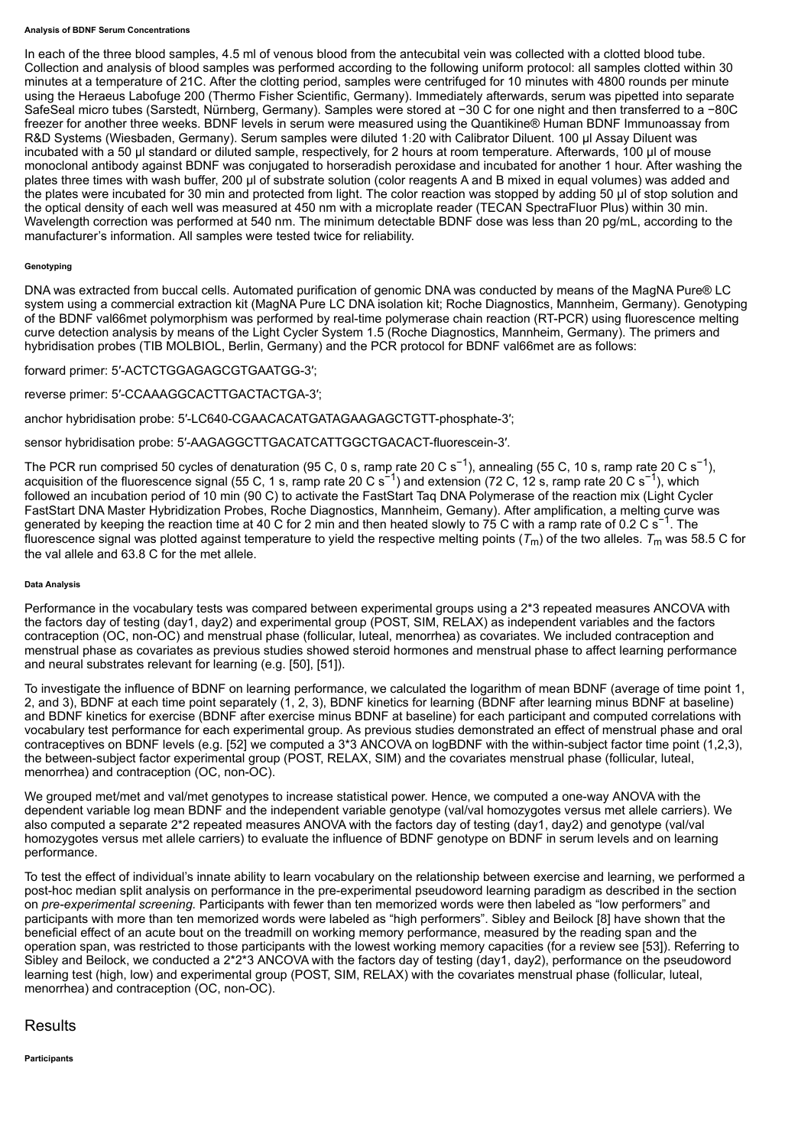#### **Analysis of BDNF Serum Concentrations**

In each of the three blood samples, 4.5 ml of venous blood from the antecubital vein was collected with a clotted blood tube. Collection and analysis of blood samples was performed according to the following uniform protocol: all samples clotted within 30 minutes at a temperature of 21C. After the clotting period, samples were centrifuged for 10 minutes with 4800 rounds per minute using the Heraeus Labofuge 200 (Thermo Fisher Scientific, Germany). Immediately afterwards, serum was pipetted into separate SafeSeal micro tubes (Sarstedt, Nürnberg, Germany). Samples were stored at −30 C for one night and then transferred to a −80C freezer for another three weeks. BDNF levels in serum were measured using the Quantikine® Human BDNF Immunoassay from R&D Systems (Wiesbaden, Germany). Serum samples were diluted 1∶20 with Calibrator Diluent. 100 µl Assay Diluent was incubated with a 50 µl standard or diluted sample, respectively, for 2 hours at room temperature. Afterwards, 100 µl of mouse monoclonal antibody against BDNF was conjugated to horseradish peroxidase and incubated for another 1 hour. After washing the plates three times with wash buffer, 200 µl of substrate solution (color reagents A and B mixed in equal volumes) was added and the plates were incubated for 30 min and protected from light. The color reaction was stopped by adding 50 µl of stop solution and the optical density of each well was measured at 450 nm with a microplate reader (TECAN SpectraFluor Plus) within 30 min. Wavelength correction was performed at 540 nm. The minimum detectable BDNF dose was less than 20 pg/mL, according to the manufacturer's information. All samples were tested twice for reliability.

#### **Genotyping**

DNA was extracted from buccal cells. Automated purification of genomic DNA was conducted by means of the MagNA Pure® LC system using a commercial extraction kit (MagNA Pure LC DNA isolation kit; Roche Diagnostics, Mannheim, Germany). Genotyping of the BDNF val66met polymorphism was performed by real-time polymerase chain reaction (RT-PCR) using fluorescence melting curve detection analysis by means of the Light Cycler System 1.5 (Roche Diagnostics, Mannheim, Germany). The primers and hybridisation probes (TIB MOLBIOL, Berlin, Germany) and the PCR protocol for BDNF val66met are as follows:

#### forward primer: 5′-ACTCTGGAGAGCGTGAATGG-3′;

reverse primer: 5′-CCAAAGGCACTTGACTACTGA-3′;

anchor hybridisation probe: 5′-LC640-CGAACACATGATAGAAGAGCTGTT-phosphate-3′;

sensor hybridisation probe: 5′-AAGAGGCTTGACATCATTGGCTGACACT-fluorescein-3′.

The PCR run comprised 50 cycles of denaturation (95 C, 0 s, ramp rate 20 C s<sup>-1</sup>), annealing (55 C, 10 s, ramp rate 20 C s<sup>-1</sup>), acquisition of the fluorescence signal (55 C, 1 s, ramp rate 20 C s<sup>-1</sup>) and extension (72 C, 12 s, ramp rate 20 C s<sup>-1</sup>), which followed an incubation period of 10 min (90 C) to activate the FastStart Taq DNA Polymerase of the reaction mix (Light Cycler FastStart DNA Master Hybridization Probes, Roche Diagnostics, Mannheim, Gemany). After amplification, a melting curve was generated by keeping the reaction time at 40 C for 2 min and then heated slowly to 75 C with a ramp rate of 0.2 C s<sup>-1</sup>. The fluorescence signal was plotted against temperature to yield the respective melting points ( $\tau_{\sf m}$ ) of the two alleles.  $\tau_{\sf m}$  was 58.5 C for the val allele and 63.8 C for the met allele.  $-1$ ) annealing (55  $\cap$  10 s, ramp rate 20  $\cap$  s<sup>-1</sup>  $-1$  and oxtonsion (72 C  $-12$  c ramp rate 20 C s<sup>-1</sup>

#### **Data Analysis**

Performance in the vocabulary tests was compared between experimental groups using a 2\*3 repeated measures ANCOVA with the factors day of testing (day1, day2) and experimental group (POST, SIM, RELAX) as independent variables and the factors contraception (OC, non-OC) and menstrual phase (follicular, luteal, menorrhea) as covariates. We included contraception and menstrual phase as covariates as previous studies showed steroid hormones and menstrual phase to affect learning performance and neural substrates relevant for learning (e.g. [\[50\]](http://journals.plos.org/plosone/article?id=10.1371/journal.pone.0064172#pone.0064172-Pletzer1), [\[51\]\)](http://journals.plos.org/plosone/article?id=10.1371/journal.pone.0064172#pone.0064172-Protopopescu1).

To investigate the influence of BDNF on learning performance, we calculated the logarithm of mean BDNF (average of time point 1, 2, and 3), BDNF at each time point separately (1, 2, 3), BDNF kinetics for learning (BDNF after learning minus BDNF at baseline) and BDNF kinetics for exercise (BDNF after exercise minus BDNF at baseline) for each participant and computed correlations with vocabulary test performance for each experimental group. As previous studies demonstrated an effect of menstrual phase and oral contraceptives on BDNF levels (e.g. [\[52\]](http://journals.plos.org/plosone/article?id=10.1371/journal.pone.0064172#pone.0064172-Pluchino1) we computed a 3\*3 ANCOVA on logBDNF with the within-subject factor time point (1,2,3), the between-subject factor experimental group (POST, RELAX, SIM) and the covariates menstrual phase (follicular, luteal, menorrhea) and contraception (OC, non-OC).

We grouped met/met and val/met genotypes to increase statistical power. Hence, we computed a one-way ANOVA with the dependent variable log mean BDNF and the independent variable genotype (val/val homozygotes versus met allele carriers). We also computed a separate 2\*2 repeated measures ANOVA with the factors day of testing (day1, day2) and genotype (val/val homozygotes versus met allele carriers) to evaluate the influence of BDNF genotype on BDNF in serum levels and on learning performance.

To test the effect of individual's innate ability to learn vocabulary on the relationship between exercise and learning, we performed a post-hoc median split analysis on performance in the pre-experimental pseudoword learning paradigm as described in the section on *pre-experimental screening.* Participants with fewer than ten memorized words were then labeled as "low performers" and participants with more than ten memorized words were labeled as "high performers". Sibley and Beilock [\[8\]](http://journals.plos.org/plosone/article?id=10.1371/journal.pone.0064172#pone.0064172-Sibley1) have shown that the beneficial effect of an acute bout on the treadmill on working memory performance, measured by the reading span and the operation span, was restricted to those participants with the lowest working memory capacities (for a review see [\[53\]\)](http://journals.plos.org/plosone/article?id=10.1371/journal.pone.0064172#pone.0064172-Conway1). Referring to Sibley and Beilock, we conducted a 2\*2\*3 ANCOVA with the factors day of testing (day1, day2), performance on the pseudoword learning test (high, low) and experimental group (POST, SIM, RELAX) with the covariates menstrual phase (follicular, luteal, menorrhea) and contraception (OC, non-OC).

### **Results**

**Participants**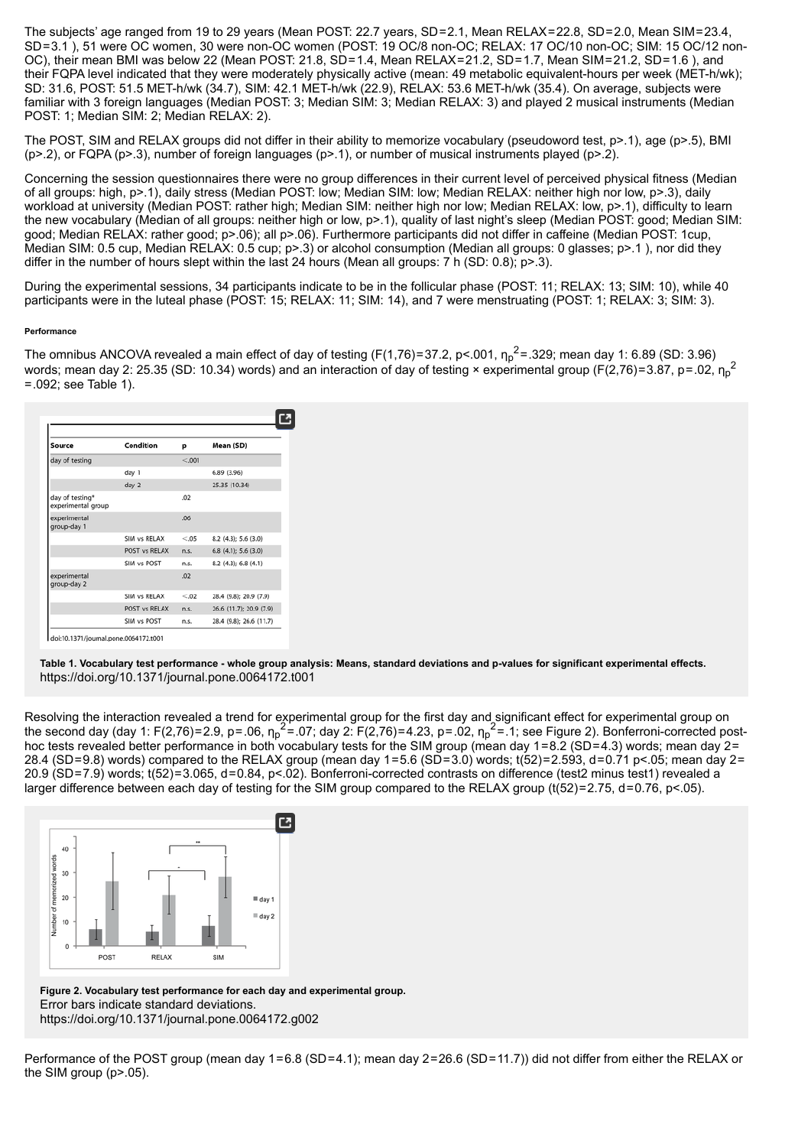The subjects' age ranged from 19 to 29 years (Mean POST: 22.7 years, SD=2.1, Mean RELAX=22.8, SD=2.0, Mean SIM=23.4, SD=3.1 ), 51 were OC women, 30 were non-OC women (POST: 19 OC/8 non-OC; RELAX: 17 OC/10 non-OC; SIM: 15 OC/12 non-OC), their mean BMI was below 22 (Mean POST: 21.8, SD=1.4, Mean RELAX=21.2, SD=1.7, Mean SIM=21.2, SD=1.6 ), and their FQPA level indicated that they were moderately physically active (mean: 49 metabolic equivalent-hours per week (MET-h/wk); SD: 31.6, POST: 51.5 MET-h/wk (34.7), SIM: 42.1 MET-h/wk (22.9), RELAX: 53.6 MET-h/wk (35.4). On average, subjects were familiar with 3 foreign languages (Median POST: 3; Median SIM: 3; Median RELAX: 3) and played 2 musical instruments (Median POST: 1; Median SIM: 2; Median RELAX: 2).

The POST, SIM and RELAX groups did not differ in their ability to memorize vocabulary (pseudoword test, p>.1), age (p>.5), BMI (p>.2), or FQPA (p>.3), number of foreign languages (p>.1), or number of musical instruments played (p>.2).

Concerning the session questionnaires there were no group differences in their current level of perceived physical fitness (Median of all groups: high, p>.1), daily stress (Median POST: low; Median SIM: low; Median RELAX: neither high nor low, p>.3), daily workload at university (Median POST: rather high: Median SIM: neither high nor low; Median RELAX: low, p>.1), difficulty to learn the new vocabulary (Median of all groups: neither high or low, p>.1), quality of last night's sleep (Median POST: good; Median SIM: good; Median RELAX: rather good; p>.06); all p>.06). Furthermore participants did not differ in caffeine (Median POST: 1cup, Median SIM: 0.5 cup, Median RELAX: 0.5 cup; p>.3) or alcohol consumption (Median all groups: 0 glasses; p>.1 ), nor did they differ in the number of hours slept within the last 24 hours (Mean all groups: 7 h (SD: 0.8); p>.3).

During the experimental sessions, 34 participants indicate to be in the follicular phase (POST: 11; RELAX: 13; SIM: 10), while 40 participants were in the luteal phase (POST: 15; RELAX: 11; SIM: 14), and 7 were menstruating (POST: 1; RELAX: 3; SIM: 3).

#### **Performance**

The omnibus ANCOVA revealed a main effect of day of testing (F(1,76)=37.2, p<.001,  $\eta_{\rm p}$ <sup>2</sup>=.329; mean day 1: 6.89 (SD: 3.96) The omnibus ANCOVA revealed a main effect of day of testing (F(1,76)=37.2, p<.001, η<sub>p</sub><sup>2</sup>=.329; mean day 1: 6.89 (SD: 3.96)<br>words; mean day 2: 25.35 (SD: 10.34) words) and an interaction of day of testing × experimental =.092; see [Table 1\)](http://journals.plos.org/plosone/article?id=10.1371/journal.pone.0064172#pone-0064172-t001).  $p^2$ 

| Source                                | Condition     | p       | Mean (SD)                |
|---------------------------------------|---------------|---------|--------------------------|
| day of testing                        |               | < 0.001 |                          |
|                                       | day 1         |         | 6.89(3.96)               |
|                                       | day 2         |         | 25.35 (10.34)            |
| day of testing*<br>experimental group |               | .02     |                          |
| experimental<br>group-day 1           |               | .06     |                          |
|                                       | SIM vs RELAX  | < .05   | 8.2 (4.3); 5.6 (3.0)     |
|                                       | POST vs RELAX | n.s.    | $6.8$ (4.1); $5.6$ (3.0) |
|                                       | SIM vs POST   | n.s.    | 8.2 (4.3); 6.8 (4.1)     |
| experimental<br>group-day 2           |               | .02     |                          |
|                                       | SIM vs RELAX  | < 0.02  | 28.4 (9.8); 20.9 (7.9)   |
|                                       | POST vs RELAX | n.s.    | 26.6 (11.7); 20.9 (7.9)  |
|                                       | SIM vs POST   | n.s.    | 28.4 (9.8); 26.6 (11.7)  |

**Table 1. Vocabulary test performance - whole group analysis: Means, standard deviations and p-values for significant experimental effects.** <https://doi.org/10.1371/journal.pone.0064172.t001>

Resolving the interaction revealed a trend for experimental group for the first day and significant effect for experimental group on the second day (day 1: F(2,76)=2.9, p=.06,  $\eta_p^2$ =.07; day 2: F(2,76)=4.23, p=.02,  $\eta_p^2$ =.1; see [Figure 2\)](http://journals.plos.org/plosone/article?id=10.1371/journal.pone.0064172#pone-0064172-g002). Bonferroni-corrected posthoc tests revealed better performance in both vocabulary tests for the SIM group (mean day 1=8.2 (SD=4.3) words; mean day 2= 28.4 (SD=9.8) words) compared to the RELAX group (mean day  $1=5.6$  (SD=3.0) words; t(52)=2.593, d=0.71 p<.05; mean day 2= 20.9 (SD=7.9) words; t(52)=3.065, d=0.84, p<.02). Bonferroni-corrected contrasts on difference (test2 minus test1) revealed a larger difference between each day of testing for the SIM group compared to the RELAX group (t(52)=2.75, d=0.76, p<.05).



**Figure 2. Vocabulary test performance for each day and experimental group.** Error bars indicate standard deviations. <https://doi.org/10.1371/journal.pone.0064172.g002>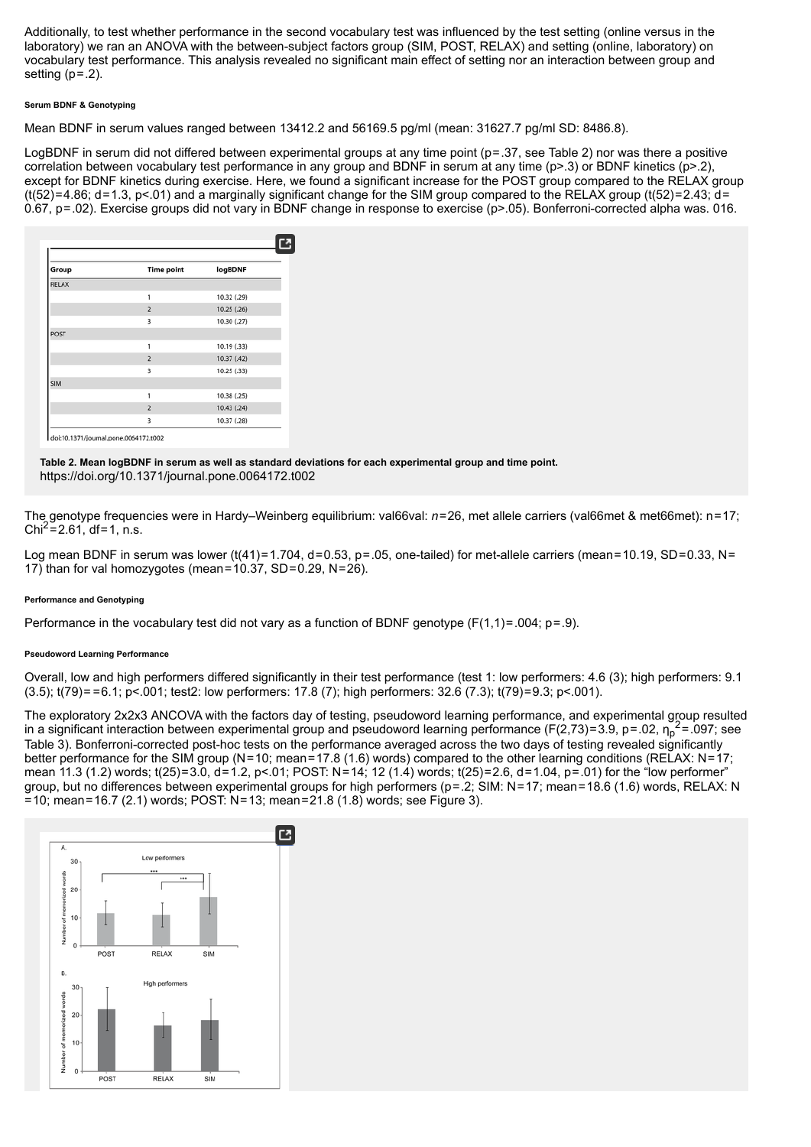Additionally, to test whether performance in the second vocabulary test was influenced by the test setting (online versus in the laboratory) we ran an ANOVA with the between-subject factors group (SIM, POST, RELAX) and setting (online, laboratory) on vocabulary test performance. This analysis revealed no significant main effect of setting nor an interaction between group and setting  $(p=.2)$ .

#### **Serum BDNF & Genotyping**

Mean BDNF in serum values ranged between 13412.2 and 56169.5 pg/ml (mean: 31627.7 pg/ml SD: 8486.8).

LogBDNF in serum did not differed between experimental groups at any time point (p=.37, see [Table 2](http://journals.plos.org/plosone/article?id=10.1371/journal.pone.0064172#pone-0064172-t002)) nor was there a positive correlation between vocabulary test performance in any group and BDNF in serum at any time (p>.3) or BDNF kinetics (p>.2), except for BDNF kinetics during exercise. Here, we found a significant increase for the POST group compared to the RELAX group (t(52)=4.86; d=1.3, p<.01) and a marginally significant change for the SIM group compared to the RELAX group (t(52)=2.43; d= 0.67, p=.02). Exercise groups did not vary in BDNF change in response to exercise (p>.05). Bonferroni-corrected alpha was. 016.

| Group | <b>Time point</b> | logBDNF     |
|-------|-------------------|-------------|
| RELAX |                   |             |
|       | 1                 | 10.32 (.29) |
|       | $\overline{2}$    | 10.25 (.26) |
|       | 3                 | 10.30 (.27) |
| POST  |                   |             |
|       | 1                 | 10.19 (.33) |
|       | $\overline{2}$    | 10.37 (.42) |
|       | 3                 | 10.25 (.33) |
| SIM   |                   |             |
|       | 1                 | 10.38 (.25) |
|       | $\overline{2}$    | 10.43(.24)  |
|       | 3                 | 10.37 (.28) |

doi:10.1371/journal.pone.0064172.t0

**Table 2. Mean logBDNF in serum as well as standard deviations for each experimental group and time point.** <https://doi.org/10.1371/journal.pone.0064172.t002>

The genotype frequencies were in Hardy–Weinberg equilibrium: val66val: *n*=26, met allele carriers (val66met & met66met): n=17;  $Chi^2 = 2.61$ , df=1, n.s.

Log mean BDNF in serum was lower (t(41)=1.704,  $d=0.53$ ,  $p=.05$ , one-tailed) for met-allele carriers (mean=10.19, SD=0.33, N= 17) than for val homozygotes (mean=10.37, SD=0.29, N=26).

#### **Performance and Genotyping**

Performance in the vocabulary test did not vary as a function of BDNF genotype  $(F(1,1)=0.04; p=.9)$ .

#### **Pseudoword Learning Performance**

Overall, low and high performers differed significantly in their test performance (test 1: low performers: 4.6 (3); high performers: 9.1 (3.5); t(79)=  =6.1; p<.001; test2: low performers: 17.8 (7); high performers: 32.6 (7.3); t(79)=9.3; p<.001).

The exploratory 2x2x3 ANCOVA with the factors day of testing, pseudoword learning performance, and experimental group resulted in a significant interaction between experimental group and pseudoword learning performance (F(2,73)=3.9, p=.02,  $\eta_p^2$ =.097; see [Table 3\)](http://journals.plos.org/plosone/article?id=10.1371/journal.pone.0064172#pone-0064172-t003). Bonferroni-corrected post-hoc tests on the performance averaged across the two days of testing revealed significantly better performance for the SIM group (N=10; mean=17.8 (1.6) words) compared to the other learning conditions (RELAX: N=17; mean 11.3 (1.2) words; t(25)=3.0, d=1.2, p<.01; POST: N=14; 12 (1.4) words; t(25)=2.6, d=1.04, p=.01) for the "low performer" group, but no differences between experimental groups for high performers (p=.2; SIM: N=17; mean=18.6 (1.6) words, RELAX: N =10; mean=16.7 (2.1) words; POST: N=13; mean=21.8 (1.8) words; see [Figure 3](http://journals.plos.org/plosone/article?id=10.1371/journal.pone.0064172#pone-0064172-g003)).

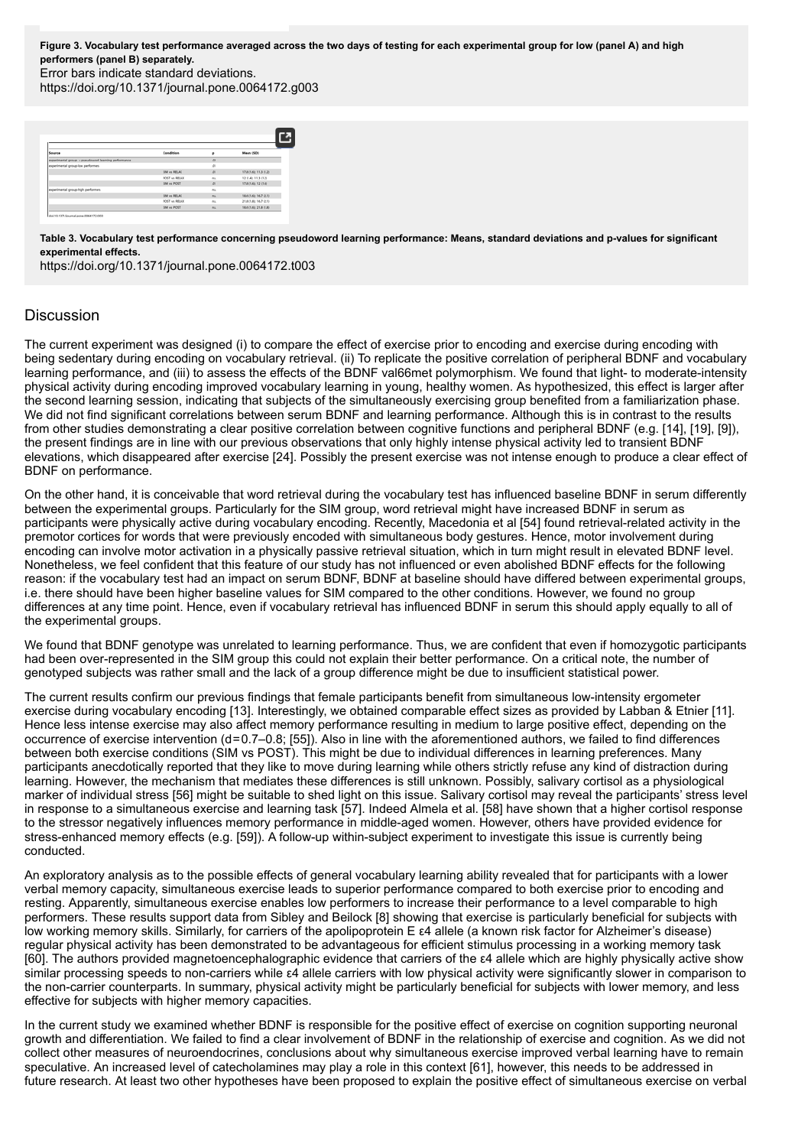**Figure 3. Vocabulary test performance averaged across the two days of testing for each experimental group for low (panel A) and high performers (panel B) separately.**

Error bars indicate standard deviations. <https://doi.org/10.1371/journal.pone.0064172.g003>

| Source                                               | <b>Condition</b> | ٠               | Mean (50)                   |
|------------------------------------------------------|------------------|-----------------|-----------------------------|
| experimental group x pseudoword learning performance |                  | $\overline{a}$  |                             |
| experimental group-low performers                    |                  | A1              |                             |
|                                                      | SAI vs RELAX     | All             | 17.8 (1.6); 11.3 (1.2)      |
|                                                      | POST vs RBLAX    | $n_A$           | 12 (1.4): 11.3 (1.2)        |
|                                                      | SM vs POST       | M.              | 37.6 (1.6); 12 (1.4)        |
| experimental group-high performers                   |                  | n.s.            |                             |
|                                                      | SAE vs RELAX     | As.             | <b>186 (1.6): 167 (2.1)</b> |
|                                                      | POST vs RBLAX    | $\Delta \Delta$ | 21.8 (1.8); 16.7 (2.1)      |
|                                                      | SIM HI POST      | A.L.            | 18.6 (1.6); 21.8 (1.8)      |

**Table 3. Vocabulary test performance concerning pseudoword learning performance: Means, standard deviations and p-values for significant experimental effects.**

<https://doi.org/10.1371/journal.pone.0064172.t003>

# **Discussion**

The current experiment was designed (i) to compare the effect of exercise prior to encoding and exercise during encoding with being sedentary during encoding on vocabulary retrieval. (ii) To replicate the positive correlation of peripheral BDNF and vocabulary learning performance, and (iii) to assess the effects of the BDNF val66met polymorphism. We found that light- to moderate-intensity physical activity during encoding improved vocabulary learning in young, healthy women. As hypothesized, this effect is larger after the second learning session, indicating that subjects of the simultaneously exercising group benefited from a familiarization phase. We did not find significant correlations between serum BDNF and learning performance. Although this is in contrast to the results from other studies demonstrating a clear positive correlation between cognitive functions and peripheral BDNF (e.g. [\[14\],](http://journals.plos.org/plosone/article?id=10.1371/journal.pone.0064172#pone.0064172-Griffin1) [\[19\],](http://journals.plos.org/plosone/article?id=10.1371/journal.pone.0064172#pone.0064172-Hariri1) [\[9\]](http://journals.plos.org/plosone/article?id=10.1371/journal.pone.0064172#pone.0064172-Winter1)), the present findings are in line with our previous observations that only highly intense physical activity led to transient BDNF elevations, which disappeared after exercise [\[24\]](http://journals.plos.org/plosone/article?id=10.1371/journal.pone.0064172#pone.0064172-SchmidtKassow2). Possibly the present exercise was not intense enough to produce a clear effect of BDNF on performance.

On the other hand, it is conceivable that word retrieval during the vocabulary test has influenced baseline BDNF in serum differently between the experimental groups. Particularly for the SIM group, word retrieval might have increased BDNF in serum as participants were physically active during vocabulary encoding. Recently, Macedonia et al [\[54\]](http://journals.plos.org/plosone/article?id=10.1371/journal.pone.0064172#pone.0064172-Macedonia1) found retrieval-related activity in the premotor cortices for words that were previously encoded with simultaneous body gestures. Hence, motor involvement during encoding can involve motor activation in a physically passive retrieval situation, which in turn might result in elevated BDNF level. Nonetheless, we feel confident that this feature of our study has not influenced or even abolished BDNF effects for the following reason: if the vocabulary test had an impact on serum BDNF, BDNF at baseline should have differed between experimental groups, i.e. there should have been higher baseline values for SIM compared to the other conditions. However, we found no group differences at any time point. Hence, even if vocabulary retrieval has influenced BDNF in serum this should apply equally to all of the experimental groups.

We found that BDNF genotype was unrelated to learning performance. Thus, we are confident that even if homozygotic participants had been over-represented in the SIM group this could not explain their better performance. On a critical note, the number of genotyped subjects was rather small and the lack of a group difference might be due to insufficient statistical power.

The current results confirm our previous findings that female participants benefit from simultaneous low-intensity ergometer exercise during vocabulary encoding [\[13\].](http://journals.plos.org/plosone/article?id=10.1371/journal.pone.0064172#pone.0064172-SchmidtKassow1) Interestingly, we obtained comparable effect sizes as provided by Labban & Etnier [\[11\]](http://journals.plos.org/plosone/article?id=10.1371/journal.pone.0064172#pone.0064172-Labban1). Hence less intense exercise may also affect memory performance resulting in medium to large positive effect, depending on the occurrence of exercise intervention (d=0.7–0.8; [\[55\]\)](http://journals.plos.org/plosone/article?id=10.1371/journal.pone.0064172#pone.0064172-Cohen1). Also in line with the aforementioned authors, we failed to find differences between both exercise conditions (SIM vs POST). This might be due to individual differences in learning preferences. Many participants anecdotically reported that they like to move during learning while others strictly refuse any kind of distraction during learning. However, the mechanism that mediates these differences is still unknown. Possibly, salivary cortisol as a physiological marker of individual stress [\[56\]](http://journals.plos.org/plosone/article?id=10.1371/journal.pone.0064172#pone.0064172-Kirschbaum1) might be suitable to shed light on this issue. Salivary cortisol may reveal the participants' stress level in response to a simultaneous exercise and learning task [\[57\].](http://journals.plos.org/plosone/article?id=10.1371/journal.pone.0064172#pone.0064172-Gatti1) Indeed Almela et al. [\[58\]](http://journals.plos.org/plosone/article?id=10.1371/journal.pone.0064172#pone.0064172-Almela1) have shown that a higher cortisol response to the stressor negatively influences memory performance in middle-aged women. However, others have provided evidence for stress-enhanced memory effects (e.g. [\[59\]\)](http://journals.plos.org/plosone/article?id=10.1371/journal.pone.0064172#pone.0064172-Henckens1). A follow-up within-subject experiment to investigate this issue is currently being conducted.

An exploratory analysis as to the possible effects of general vocabulary learning ability revealed that for participants with a lower verbal memory capacity, simultaneous exercise leads to superior performance compared to both exercise prior to encoding and resting. Apparently, simultaneous exercise enables low performers to increase their performance to a level comparable to high performers. These results support data from Sibley and Beilock [\[8\]](http://journals.plos.org/plosone/article?id=10.1371/journal.pone.0064172#pone.0064172-Sibley1) showing that exercise is particularly beneficial for subjects with low working memory skills. Similarly, for carriers of the apolipoprotein E ε4 allele (a known risk factor for Alzheimer's disease) regular physical activity has been demonstrated to be advantageous for efficient stimulus processing in a working memory task [\[60\]](http://journals.plos.org/plosone/article?id=10.1371/journal.pone.0064172#pone.0064172-Deeny1). The authors provided magnetoencephalographic evidence that carriers of the ε4 allele which are highly physically active show similar processing speeds to non-carriers while ε4 allele carriers with low physical activity were significantly slower in comparison to the non-carrier counterparts. In summary, physical activity might be particularly beneficial for subjects with lower memory, and less effective for subjects with higher memory capacities.

In the current study we examined whether BDNF is responsible for the positive effect of exercise on cognition supporting neuronal growth and differentiation. We failed to find a clear involvement of BDNF in the relationship of exercise and cognition. As we did not collect other measures of neuroendocrines, conclusions about why simultaneous exercise improved verbal learning have to remain speculative. An increased level of catecholamines may play a role in this context [\[61\]](http://journals.plos.org/plosone/article?id=10.1371/journal.pone.0064172#pone.0064172-Hodgetts1), however, this needs to be addressed in future research. At least two other hypotheses have been proposed to explain the positive effect of simultaneous exercise on verbal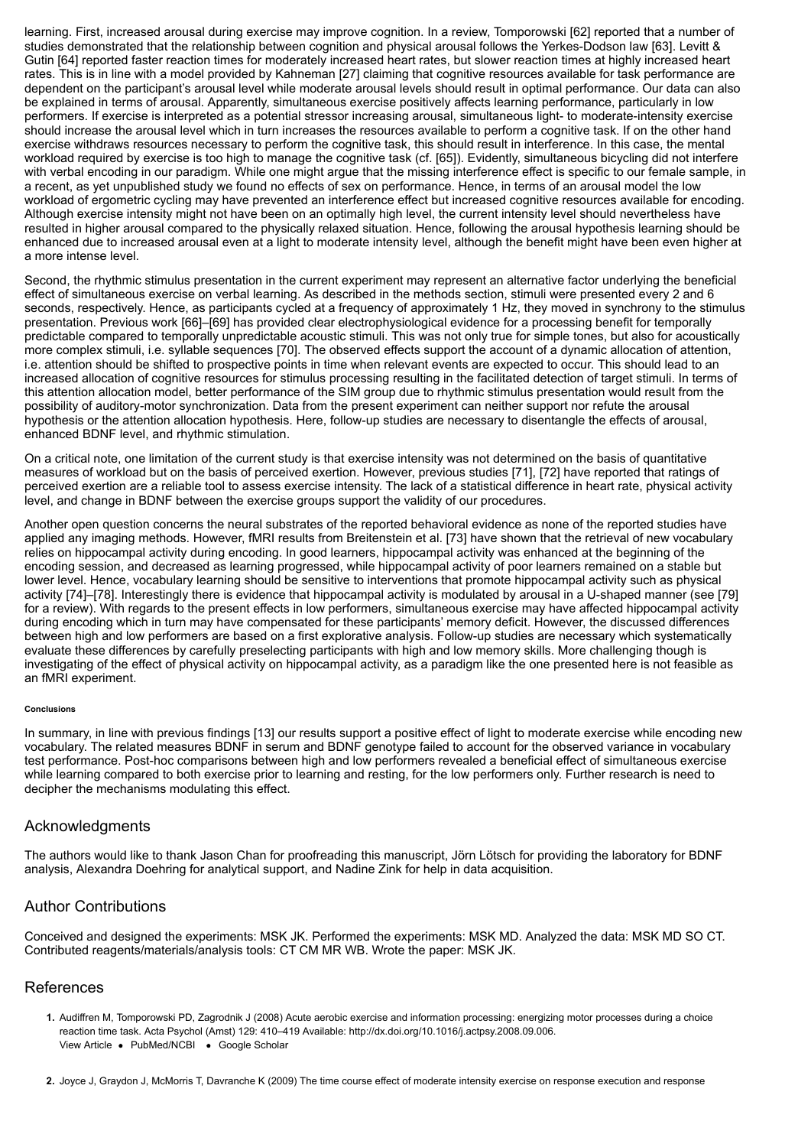learning. First, increased arousal during exercise may improve cognition. In a review, Tomporowski [\[62\]](http://journals.plos.org/plosone/article?id=10.1371/journal.pone.0064172#pone.0064172-Tomporowski1) reported that a number of studies demonstrated that the relationship between cognition and physical arousal follows the Yerkes-Dodson law [\[63\].](http://journals.plos.org/plosone/article?id=10.1371/journal.pone.0064172#pone.0064172-Yerkes1) Levitt & Gutin [\[64\]](http://journals.plos.org/plosone/article?id=10.1371/journal.pone.0064172#pone.0064172-Levitt1) reported faster reaction times for moderately increased heart rates, but slower reaction times at highly increased heart rates. This is in line with a model provided by Kahneman [\[27\]](http://journals.plos.org/plosone/article?id=10.1371/journal.pone.0064172#pone.0064172-Kahneman1) claiming that cognitive resources available for task performance are dependent on the participant's arousal level while moderate arousal levels should result in optimal performance. Our data can also be explained in terms of arousal. Apparently, simultaneous exercise positively affects learning performance, particularly in low performers. If exercise is interpreted as a potential stressor increasing arousal, simultaneous light- to moderate-intensity exercise should increase the arousal level which in turn increases the resources available to perform a cognitive task. If on the other hand exercise withdraws resources necessary to perform the cognitive task, this should result in interference. In this case, the mental workload required by exercise is too high to manage the cognitive task (cf. [\[65\]](http://journals.plos.org/plosone/article?id=10.1371/journal.pone.0064172#pone.0064172-Audiffren2)). Evidently, simultaneous bicycling did not interfere with verbal encoding in our paradigm. While one might argue that the missing interference effect is specific to our female sample, in a recent, as yet unpublished study we found no effects of sex on performance. Hence, in terms of an arousal model the low workload of ergometric cycling may have prevented an interference effect but increased cognitive resources available for encoding. Although exercise intensity might not have been on an optimally high level, the current intensity level should nevertheless have resulted in higher arousal compared to the physically relaxed situation. Hence, following the arousal hypothesis learning should be enhanced due to increased arousal even at a light to moderate intensity level, although the benefit might have been even higher at a more intense level.

Second, the rhythmic stimulus presentation in the current experiment may represent an alternative factor underlying the beneficial effect of simultaneous exercise on verbal learning. As described in the methods section, stimuli were presented every 2 and 6 seconds, respectively. Hence, as participants cycled at a frequency of approximately 1 Hz, they moved in synchrony to the stimulus presentation. Previous work [\[66\]–](http://journals.plos.org/plosone/article?id=10.1371/journal.pone.0064172#pone.0064172-Correa1)[\[69\]](http://journals.plos.org/plosone/article?id=10.1371/journal.pone.0064172#pone.0064172-Schwartze1) has provided clear electrophysiological evidence for a processing benefit for temporally predictable compared to temporally unpredictable acoustic stimuli. This was not only true for simple tones, but also for acoustically more complex stimuli, i.e. syllable sequences [\[70\]](http://journals.plos.org/plosone/article?id=10.1371/journal.pone.0064172#pone.0064172-Otterbein1). The observed effects support the account of a dynamic allocation of attention, i.e. attention should be shifted to prospective points in time when relevant events are expected to occur. This should lead to an increased allocation of cognitive resources for stimulus processing resulting in the facilitated detection of target stimuli. In terms of this attention allocation model, better performance of the SIM group due to rhythmic stimulus presentation would result from the possibility of auditory-motor synchronization. Data from the present experiment can neither support nor refute the arousal hypothesis or the attention allocation hypothesis. Here, follow-up studies are necessary to disentangle the effects of arousal, enhanced BDNF level, and rhythmic stimulation.

On a critical note, one limitation of the current study is that exercise intensity was not determined on the basis of quantitative measures of workload but on the basis of perceived exertion. However, previous studies [\[71\]](http://journals.plos.org/plosone/article?id=10.1371/journal.pone.0064172#pone.0064172-Dunbar1), [\[72\]](http://journals.plos.org/plosone/article?id=10.1371/journal.pone.0064172#pone.0064172-Eston1) have reported that ratings of perceived exertion are a reliable tool to assess exercise intensity. The lack of a statistical difference in heart rate, physical activity level, and change in BDNF between the exercise groups support the validity of our procedures.

Another open question concerns the neural substrates of the reported behavioral evidence as none of the reported studies have applied any imaging methods. However, fMRI results from Breitenstein et al. [\[73\]](http://journals.plos.org/plosone/article?id=10.1371/journal.pone.0064172#pone.0064172-Breitenstein1) have shown that the retrieval of new vocabulary relies on hippocampal activity during encoding. In good learners, hippocampal activity was enhanced at the beginning of the encoding session, and decreased as learning progressed, while hippocampal activity of poor learners remained on a stable but lower level. Hence, vocabulary learning should be sensitive to interventions that promote hippocampal activity such as physical activity [\[74\]–](http://journals.plos.org/plosone/article?id=10.1371/journal.pone.0064172#pone.0064172-Fabel1)[\[78\].](http://journals.plos.org/plosone/article?id=10.1371/journal.pone.0064172#pone.0064172-Uda1) Interestingly there is evidence that hippocampal activity is modulated by arousal in a U-shaped manner (see [\[79\]](http://journals.plos.org/plosone/article?id=10.1371/journal.pone.0064172#pone.0064172-McMorris3) for a review). With regards to the present effects in low performers, simultaneous exercise may have affected hippocampal activity during encoding which in turn may have compensated for these participants' memory deficit. However, the discussed differences between high and low performers are based on a first explorative analysis. Follow-up studies are necessary which systematically evaluate these differences by carefully preselecting participants with high and low memory skills. More challenging though is investigating of the effect of physical activity on hippocampal activity, as a paradigm like the one presented here is not feasible as an fMRI experiment.

#### **Conclusions**

In summary, in line with previous findings [\[13\]](http://journals.plos.org/plosone/article?id=10.1371/journal.pone.0064172#pone.0064172-SchmidtKassow1) our results support a positive effect of light to moderate exercise while encoding new vocabulary. The related measures BDNF in serum and BDNF genotype failed to account for the observed variance in vocabulary test performance. Post-hoc comparisons between high and low performers revealed a beneficial effect of simultaneous exercise while learning compared to both exercise prior to learning and resting, for the low performers only. Further research is need to decipher the mechanisms modulating this effect.

### Acknowledgments

The authors would like to thank Jason Chan for proofreading this manuscript, Jörn Lötsch for providing the laboratory for BDNF analysis, Alexandra Doehring for analytical support, and Nadine Zink for help in data acquisition.

# Author Contributions

Conceived and designed the experiments: MSK JK. Performed the experiments: MSK MD. Analyzed the data: MSK MD SO CT. Contributed reagents/materials/analysis tools: CT CM MR WB. Wrote the paper: MSK JK.

### References

- [View Article](https://doi.org/http://dx.doi.org/10.1016/j.actpsy.2008.09.006) [PubMed/NCBI](http://www.ncbi.nlm.nih.gov/entrez/query.fcgi?db=PubMed&cmd=Search&doptcmdl=Citation&defaultField=Title+Word&term=Audiffren%5Bauthor%5D+AND+Acute+aerobic+exercise+and+information+processing%3A+energizing+motor+processes+during+a+choice+reaction+time+task) [Google Scholar](http://scholar.google.com/scholar_lookup?title=Acute+aerobic+exercise+and+information+processing%3A+energizing+motor+processes+during+a+choice+reaction+time+task&author=Audiffren&publication_year=2008) **1.** Audiffren M, Tomporowski PD, Zagrodnik J (2008) Acute aerobic exercise and information processing: energizing motor processes during a choice reaction time task. Acta Psychol (Amst) 129: 410–419 Available: <http://dx.doi.org/10.1016/j.actpsy.2008.09.006>.
- **2.** Joyce J, Graydon J, McMorris T, Davranche K (2009) The time course effect of moderate intensity exercise on response execution and response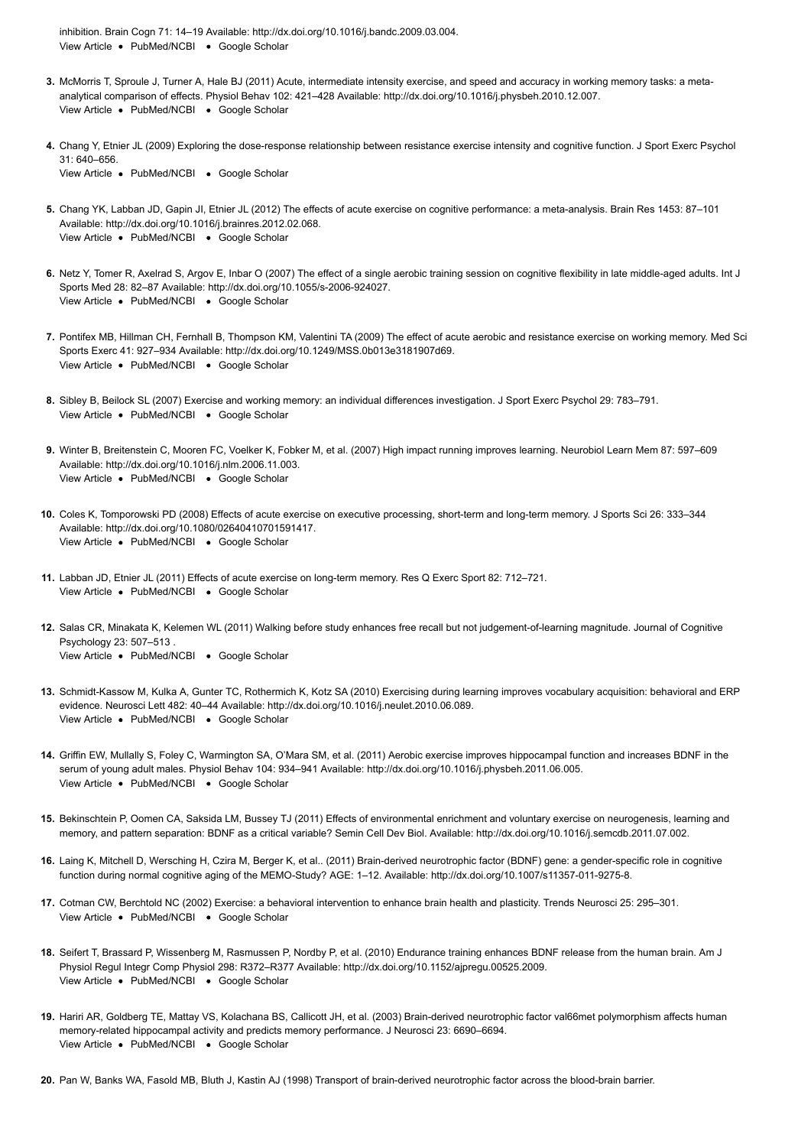[View Article](https://doi.org/http://dx.doi.org/10.1016/j.bandc.2009.03.004) • [PubMed/NCBI](http://www.ncbi.nlm.nih.gov/entrez/query.fcgi?db=PubMed&cmd=Search&doptcmdl=Citation&defaultField=Title+Word&term=Joyce%5Bauthor%5D+AND+The+time+course+effect+of+moderate+intensity+exercise+on+response+execution+and+response+inhibition) • [Google Scholar](http://scholar.google.com/scholar_lookup?title=The+time+course+effect+of+moderate+intensity+exercise+on+response+execution+and+response+inhibition&author=Joyce&publication_year=2009) inhibition. Brain Cogn 71: 14–19 Available: [http://dx.doi.org/10.1016/j.bandc.2009.03.004.](http://dx.doi.org/10.1016/j.bandc.2009.03.004)

- [View Article](https://doi.org/http://dx.doi.org/10.1016/j.physbeh.2010.12.007) · [PubMed/NCBI](http://www.ncbi.nlm.nih.gov/entrez/query.fcgi?db=PubMed&cmd=Search&doptcmdl=Citation&defaultField=Title+Word&term=McMorris%5Bauthor%5D+AND+Acute%2C+intermediate+intensity+exercise%2C+and+speed+and+accuracy+in+working+memory+tasks%3A+a+meta-analytical+comparison+of+effects) · [Google Scholar](http://scholar.google.com/scholar_lookup?title=Acute%2C+intermediate+intensity+exercise%2C+and+speed+and+accuracy+in+working+memory+tasks%3A+a+meta-analytical+comparison+of+effects&author=McMorris&publication_year=2011) **3.** McMorris T, Sproule J, Turner A, Hale BJ (2011) Acute, intermediate intensity exercise, and speed and accuracy in working memory tasks: a metaanalytical comparison of effects. Physiol Behav 102: 421–428 Available: [http://dx.doi.org/10.1016/j.physbeh.2010.12.007.](http://dx.doi.org/10.1016/j.physbeh.2010.12.007)
- [View Article](http://journals.plos.org/plosone/article?id=10.1371/journal.pone.0064172#) · [PubMed/NCBI](http://www.ncbi.nlm.nih.gov/entrez/query.fcgi?db=PubMed&cmd=Search&doptcmdl=Citation&defaultField=Title+Word&term=Chang%5Bauthor%5D+AND+Exploring+the+dose-response+relationship+between+resistance+exercise+intensity+and+cognitive+function) · [Google Scholar](http://scholar.google.com/scholar_lookup?title=Exploring+the+dose-response+relationship+between+resistance+exercise+intensity+and+cognitive+function&author=Chang&publication_year=2009) **4.** Chang Y, Etnier JL (2009) Exploring the dose-response relationship between resistance exercise intensity and cognitive function. J Sport Exerc Psychol 31: 640–656.
- [View Article](https://doi.org/http://dx.doi.org/10.1016/j.brainres.2012.02.068) [PubMed/NCBI](http://www.ncbi.nlm.nih.gov/entrez/query.fcgi?db=PubMed&cmd=Search&doptcmdl=Citation&defaultField=Title+Word&term=Chang%5Bauthor%5D+AND+The+effects+of+acute+exercise+on+cognitive+performance%3A+a+meta-analysis) [Google Scholar](http://scholar.google.com/scholar_lookup?title=The+effects+of+acute+exercise+on+cognitive+performance%3A+a+meta-analysis&author=Chang&publication_year=2012) **5.** Chang YK, Labban JD, Gapin JI, Etnier JL (2012) The effects of acute exercise on cognitive performance: a meta-analysis. Brain Res 1453: 87–101 Available: [http://dx.doi.org/10.1016/j.brainres.2012.02.068.](http://dx.doi.org/10.1016/j.brainres.2012.02.068)
- [View Article](https://doi.org/http://dx.doi.org/10.1055/s-2006-924027) [PubMed/NCBI](http://www.ncbi.nlm.nih.gov/entrez/query.fcgi?db=PubMed&cmd=Search&doptcmdl=Citation&defaultField=Title+Word&term=Netz%5Bauthor%5D+AND+The+effect+of+a+single+aerobic+training+session+on+cognitive+flexibility+in+late+middle-aged+adults) [Google Scholar](http://scholar.google.com/scholar_lookup?title=The+effect+of+a+single+aerobic+training+session+on+cognitive+flexibility+in+late+middle-aged+adults&author=Netz&publication_year=2007) **6.** Netz Y, Tomer R, Axelrad S, Argov E, Inbar O (2007) The effect of a single aerobic training session on cognitive flexibility in late middle-aged adults. Int J Sports Med 28: 82–87 Available: [http://dx.doi.org/10.1055/s-2006-924027.](http://dx.doi.org/10.1055/s-2006-924027)
- [View Article](https://doi.org/http://dx.doi.org/10.1249/MSS.0b013e3181907d69) · [PubMed/NCBI](http://www.ncbi.nlm.nih.gov/entrez/query.fcgi?db=PubMed&cmd=Search&doptcmdl=Citation&defaultField=Title+Word&term=Pontifex%5Bauthor%5D+AND+The+effect+of+acute+aerobic+and+resistance+exercise+on+working+memory) · [Google Scholar](http://scholar.google.com/scholar_lookup?title=The+effect+of+acute+aerobic+and+resistance+exercise+on+working+memory&author=Pontifex&publication_year=2009) **7.** Pontifex MB, Hillman CH, Fernhall B, Thompson KM, Valentini TA (2009) The effect of acute aerobic and resistance exercise on working memory. Med Sci Sports Exerc 41: 927–934 Available: [http://dx.doi.org/10.1249/MSS.0b013e3181907d69.](http://dx.doi.org/10.1249/MSS.0b013e3181907d69)
- [View Article](http://journals.plos.org/plosone/article?id=10.1371/journal.pone.0064172#) [PubMed/NCBI](http://www.ncbi.nlm.nih.gov/entrez/query.fcgi?db=PubMed&cmd=Search&doptcmdl=Citation&defaultField=Title+Word&term=Sibley%5Bauthor%5D+AND+Exercise+and+working+memory%3A+an+individual+differences+investigation) [Google Scholar](http://scholar.google.com/scholar_lookup?title=Exercise+and+working+memory%3A+an+individual+differences+investigation&author=Sibley&publication_year=2007) **8.** Sibley B, Beilock SL (2007) Exercise and working memory: an individual differences investigation. J Sport Exerc Psychol 29: 783–791.
- [View Article](https://doi.org/http://dx.doi.org/10.1016/j.nlm.2006.11.003) [PubMed/NCBI](http://www.ncbi.nlm.nih.gov/entrez/query.fcgi?db=PubMed&cmd=Search&doptcmdl=Citation&defaultField=Title+Word&term=Winter%5Bauthor%5D+AND+High+impact+running+improves+learning) [Google Scholar](http://scholar.google.com/scholar_lookup?title=High+impact+running+improves+learning&author=Winter&publication_year=2007) **9.** Winter B, Breitenstein C, Mooren FC, Voelker K, Fobker M, et al. (2007) High impact running improves learning. Neurobiol Learn Mem 87: 597–609 Available: <http://dx.doi.org/10.1016/j.nlm.2006.11.003>.
- [View Article](https://doi.org/http://dx.doi.org/10.1080/02640410701591417) · [PubMed/NCBI](http://www.ncbi.nlm.nih.gov/entrez/query.fcgi?db=PubMed&cmd=Search&doptcmdl=Citation&defaultField=Title+Word&term=Coles%5Bauthor%5D+AND+Effects+of+acute+exercise+on+executive+processing%2C+short-term+and+long-term+memory) · [Google Scholar](http://scholar.google.com/scholar_lookup?title=Effects+of+acute+exercise+on+executive+processing%2C+short-term+and+long-term+memory&author=Coles&publication_year=2008) **10.** Coles K, Tomporowski PD (2008) Effects of acute exercise on executive processing, short-term and long-term memory. J Sports Sci 26: 333–344 Available: <http://dx.doi.org/10.1080/02640410701591417>.
- [View Article](http://journals.plos.org/plosone/article?id=10.1371/journal.pone.0064172#) [PubMed/NCBI](http://www.ncbi.nlm.nih.gov/entrez/query.fcgi?db=PubMed&cmd=Search&doptcmdl=Citation&defaultField=Title+Word&term=Labban%5Bauthor%5D+AND+Effects+of+acute+exercise+on+long-term+memory) [Google Scholar](http://scholar.google.com/scholar_lookup?title=Effects+of+acute+exercise+on+long-term+memory&author=Labban&publication_year=2011) **11.** Labban JD, Etnier JL (2011) Effects of acute exercise on long-term memory. Res Q Exerc Sport 82: 712–721.
- [View Article](https://doi.org/10.1080/20445911.2011.532207) . [PubMed/NCBI](http://www.ncbi.nlm.nih.gov/entrez/query.fcgi?db=PubMed&cmd=Search&doptcmdl=Citation&defaultField=Title+Word&term=Salas%5Bauthor%5D+AND+Walking+before+study+enhances+free+recall+but+not+judgement-of-learning+magnitude) . [Google Scholar](http://scholar.google.com/scholar_lookup?title=Walking+before+study+enhances+free+recall+but+not+judgement-of-learning+magnitude&author=Salas&publication_year=2011) **12.** Salas CR, Minakata K, Kelemen WL (2011) Walking before study enhances free recall but not judgement-of-learning magnitude. Journal of Cognitive Psychology 23: 507–513 .
- [View Article](https://doi.org/http://dx.doi.org/10.1016/j.neulet.2010.06.089) · [PubMed/NCBI](http://www.ncbi.nlm.nih.gov/entrez/query.fcgi?db=PubMed&cmd=Search&doptcmdl=Citation&defaultField=Title+Word&term=Schmidt-Kassow%5Bauthor%5D+AND+Exercising+during+learning+improves+vocabulary+acquisition%3A+behavioral+and+ERP+evidence) · [Google Scholar](http://scholar.google.com/scholar_lookup?title=Exercising+during+learning+improves+vocabulary+acquisition%3A+behavioral+and+ERP+evidence&author=Schmidt-Kassow&publication_year=2010) **13.** Schmidt-Kassow M, Kulka A, Gunter TC, Rothermich K, Kotz SA (2010) Exercising during learning improves vocabulary acquisition: behavioral and ERP evidence. Neurosci Lett 482: 40–44 Available: [http://dx.doi.org/10.1016/j.neulet.2010.06.089.](http://dx.doi.org/10.1016/j.neulet.2010.06.089)
- [View Article](https://doi.org/http://dx.doi.org/10.1016/j.physbeh.2011.06.005) · [PubMed/NCBI](http://www.ncbi.nlm.nih.gov/entrez/query.fcgi?db=PubMed&cmd=Search&doptcmdl=Citation&defaultField=Title+Word&term=Griffin%5Bauthor%5D+AND+Aerobic+exercise+improves+hippocampal+function+and+increases+BDNF+in+the+serum+of+young+adult+males) · [Google Scholar](http://scholar.google.com/scholar_lookup?title=Aerobic+exercise+improves+hippocampal+function+and+increases+BDNF+in+the+serum+of+young+adult+males&author=Griffin&publication_year=2011) **14.** Griffin EW, Mullally S, Foley C, Warmington SA, O'Mara SM, et al. (2011) Aerobic exercise improves hippocampal function and increases BDNF in the serum of young adult males. Physiol Behav 104: 934–941 Available: <http://dx.doi.org/10.1016/j.physbeh.2011.06.005>.
- **15.** Bekinschtein P, Oomen CA, Saksida LM, Bussey TJ (2011) Effects of environmental enrichment and voluntary exercise on neurogenesis, learning and memory, and pattern separation: BDNF as a critical variable? Semin Cell Dev Biol. Available: <http://dx.doi.org/10.1016/j.semcdb.2011.07.002>.
- **16.** Laing K, Mitchell D, Wersching H, Czira M, Berger K, et al.. (2011) Brain-derived neurotrophic factor (BDNF) gene: a gender-specific role in cognitive function during normal cognitive aging of the MEMO-Study? AGE: 1–12. Available:<http://dx.doi.org/10.1007/s11357-011-9275-8>.
- [View Article](http://journals.plos.org/plosone/article?id=10.1371/journal.pone.0064172#) · [PubMed/NCBI](http://www.ncbi.nlm.nih.gov/entrez/query.fcgi?db=PubMed&cmd=Search&doptcmdl=Citation&defaultField=Title+Word&term=Cotman%5Bauthor%5D+AND+Exercise%3A+a+behavioral+intervention+to+enhance+brain+health+and+plasticity) · [Google Scholar](http://scholar.google.com/scholar_lookup?title=Exercise%3A+a+behavioral+intervention+to+enhance+brain+health+and+plasticity&author=Cotman&publication_year=2002) **17.** Cotman CW, Berchtold NC (2002) Exercise: a behavioral intervention to enhance brain health and plasticity. Trends Neurosci 25: 295–301.
- [View Article](https://doi.org/http://dx.doi.org/10.1152/ajpregu.00525.2009) · [PubMed/NCBI](http://www.ncbi.nlm.nih.gov/entrez/query.fcgi?db=PubMed&cmd=Search&doptcmdl=Citation&defaultField=Title+Word&term=Seifert%5Bauthor%5D+AND+Endurance+training+enhances+BDNF+release+from+the+human+brain) · [Google Scholar](http://scholar.google.com/scholar_lookup?title=Endurance+training+enhances+BDNF+release+from+the+human+brain&author=Seifert&publication_year=2010) **18.** Seifert T, Brassard P, Wissenberg M, Rasmussen P, Nordby P, et al. (2010) Endurance training enhances BDNF release from the human brain. Am J Physiol Regul Integr Comp Physiol 298: R372–R377 Available: [http://dx.doi.org/10.1152/ajpregu.00525.2009.](http://dx.doi.org/10.1152/ajpregu.00525.2009)
- [View Article](http://journals.plos.org/plosone/article?id=10.1371/journal.pone.0064172#) · [PubMed/NCBI](http://www.ncbi.nlm.nih.gov/entrez/query.fcgi?db=PubMed&cmd=Search&doptcmdl=Citation&defaultField=Title+Word&term=Hariri%5Bauthor%5D+AND+Brain-derived+neurotrophic+factor+val66met+polymorphism+affects+human+memory-related+hippocampal+activity+and+predicts+memory+performance) · [Google Scholar](http://scholar.google.com/scholar_lookup?title=Brain-derived+neurotrophic+factor+val66met+polymorphism+affects+human+memory-related+hippocampal+activity+and+predicts+memory+performance&author=Hariri&publication_year=2003) **19.** Hariri AR, Goldberg TE, Mattay VS, Kolachana BS, Callicott JH, et al. (2003) Brain-derived neurotrophic factor val66met polymorphism affects human memory-related hippocampal activity and predicts memory performance. J Neurosci 23: 6690–6694.
- **20.** Pan W, Banks WA, Fasold MB, Bluth J, Kastin AJ (1998) Transport of brain-derived neurotrophic factor across the blood-brain barrier.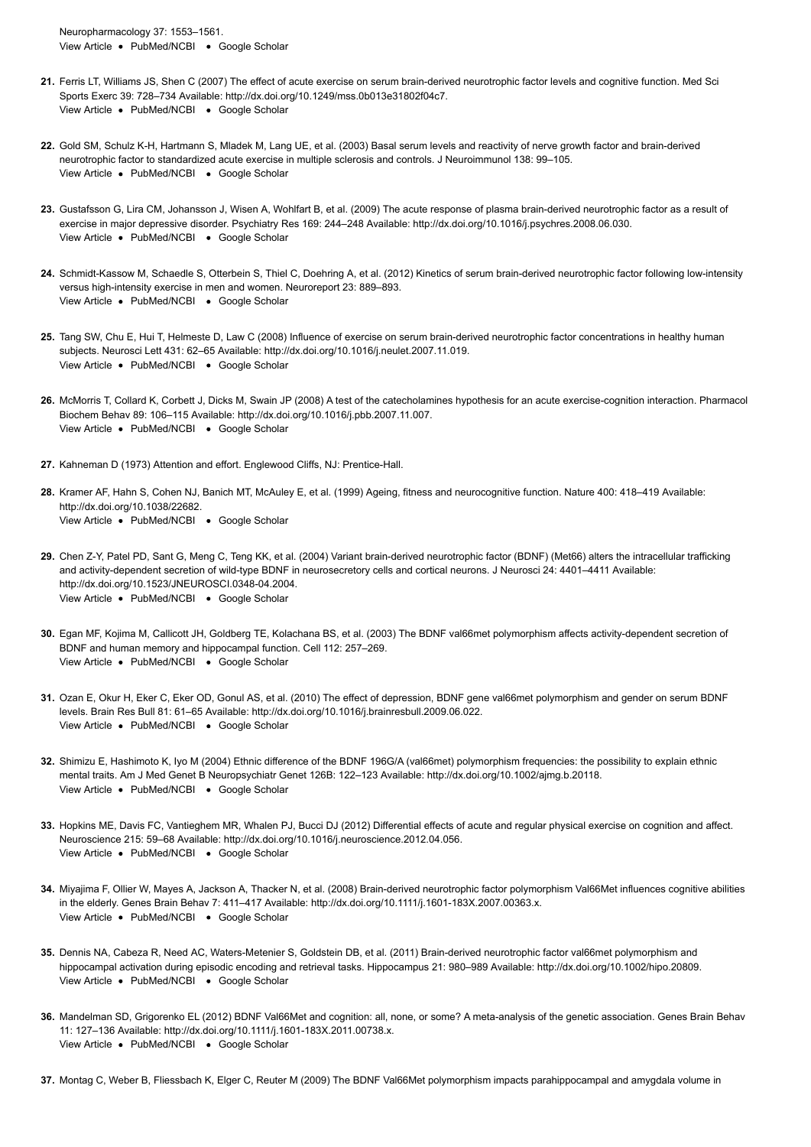[View Article](http://journals.plos.org/plosone/article?id=10.1371/journal.pone.0064172#) • [PubMed/NCBI](http://www.ncbi.nlm.nih.gov/entrez/query.fcgi?db=PubMed&cmd=Search&doptcmdl=Citation&defaultField=Title+Word&term=Pan%5Bauthor%5D+AND+Transport+of+brain-derived+neurotrophic+factor+across+the+blood-brain+barrier) • [Google Scholar](http://scholar.google.com/scholar_lookup?title=Transport+of+brain-derived+neurotrophic+factor+across+the+blood-brain+barrier&author=Pan&publication_year=1998) Neuropharmacology 37: 1553–1561.

- [View Article](https://doi.org/http://dx.doi.org/10.1249/mss.0b013e31802f04c7) · [PubMed/NCBI](http://www.ncbi.nlm.nih.gov/entrez/query.fcgi?db=PubMed&cmd=Search&doptcmdl=Citation&defaultField=Title+Word&term=Ferris%5Bauthor%5D+AND+The+effect+of+acute+exercise+on+serum+brain-derived+neurotrophic+factor+levels+and+cognitive+function) · [Google Scholar](http://scholar.google.com/scholar_lookup?title=The+effect+of+acute+exercise+on+serum+brain-derived+neurotrophic+factor+levels+and+cognitive+function&author=Ferris&publication_year=2007) **21.** Ferris LT, Williams JS, Shen C (2007) The effect of acute exercise on serum brain-derived neurotrophic factor levels and cognitive function. Med Sci Sports Exerc 39: 728–734 Available: [http://dx.doi.org/10.1249/mss.0b013e31802f04c7.](http://dx.doi.org/10.1249/mss.0b013e31802f04c7)
- [View Article](http://journals.plos.org/plosone/article?id=10.1371/journal.pone.0064172#) [PubMed/NCBI](http://www.ncbi.nlm.nih.gov/entrez/query.fcgi?db=PubMed&cmd=Search&doptcmdl=Citation&defaultField=Title+Word&term=Gold%5Bauthor%5D+AND+Basal+serum+levels+and+reactivity+of+nerve+growth+factor+and+brain-derived+neurotrophic+factor+to+standardized+acute+exercise+in+multiple+sclerosis+and+controls) [Google Scholar](http://scholar.google.com/scholar_lookup?title=Basal+serum+levels+and+reactivity+of+nerve+growth+factor+and+brain-derived+neurotrophic+factor+to+standardized+acute+exercise+in+multiple+sclerosis+and+controls&author=Gold&publication_year=2003) **22.** Gold SM, Schulz K-H, Hartmann S, Mladek M, Lang UE, et al. (2003) Basal serum levels and reactivity of nerve growth factor and brain-derived neurotrophic factor to standardized acute exercise in multiple sclerosis and controls. J Neuroimmunol 138: 99–105.
- [View Article](https://doi.org/http://dx.doi.org/10.1016/j.psychres.2008.06.030) [PubMed/NCBI](http://www.ncbi.nlm.nih.gov/entrez/query.fcgi?db=PubMed&cmd=Search&doptcmdl=Citation&defaultField=Title+Word&term=Gustafsson%5Bauthor%5D+AND+The+acute+response+of+plasma+brain-derived+neurotrophic+factor+as+a+result+of+exercise+in+major+depressive+disorder) [Google Scholar](http://scholar.google.com/scholar_lookup?title=The+acute+response+of+plasma+brain-derived+neurotrophic+factor+as+a+result+of+exercise+in+major+depressive+disorder&author=Gustafsson&publication_year=2009) **23.** Gustafsson G, Lira CM, Johansson J, Wisen A, Wohlfart B, et al. (2009) The acute response of plasma brain-derived neurotrophic factor as a result of exercise in major depressive disorder. Psychiatry Res 169: 244–248 Available:<http://dx.doi.org/10.1016/j.psychres.2008.06.030>.
- [View Article](http://journals.plos.org/plosone/article?id=10.1371/journal.pone.0064172#) . [PubMed/NCBI](http://www.ncbi.nlm.nih.gov/entrez/query.fcgi?db=PubMed&cmd=Search&doptcmdl=Citation&defaultField=Title+Word&term=Schmidt-Kassow%5Bauthor%5D+AND+Kinetics+of+serum+brain-derived+neurotrophic+factor+following+low-intensity+versus+high-intensity+exercise+in+men+and+women) . [Google Scholar](http://scholar.google.com/scholar_lookup?title=Kinetics+of+serum+brain-derived+neurotrophic+factor+following+low-intensity+versus+high-intensity+exercise+in+men+and+women&author=Schmidt-Kassow&publication_year=2012) **24.** Schmidt-Kassow M, Schaedle S, Otterbein S, Thiel C, Doehring A, et al. (2012) Kinetics of serum brain-derived neurotrophic factor following low-intensity versus high-intensity exercise in men and women. Neuroreport 23: 889–893.
- [View Article](https://doi.org/http://dx.doi.org/10.1016/j.neulet.2007.11.019) [PubMed/NCBI](http://www.ncbi.nlm.nih.gov/entrez/query.fcgi?db=PubMed&cmd=Search&doptcmdl=Citation&defaultField=Title+Word&term=Tang%5Bauthor%5D+AND+Influence+of+exercise+on+serum+brain-derived+neurotrophic+factor+concentrations+in+healthy+human+subjects) [Google Scholar](http://scholar.google.com/scholar_lookup?title=Influence+of+exercise+on+serum+brain-derived+neurotrophic+factor+concentrations+in+healthy+human+subjects&author=Tang&publication_year=2008) **25.** Tang SW, Chu E, Hui T, Helmeste D, Law C (2008) Influence of exercise on serum brain-derived neurotrophic factor concentrations in healthy human subjects. Neurosci Lett 431: 62–65 Available: [http://dx.doi.org/10.1016/j.neulet.2007.11.019.](http://dx.doi.org/10.1016/j.neulet.2007.11.019)
- [View Article](https://doi.org/http://dx.doi.org/10.1016/j.pbb.2007.11.007) [PubMed/NCBI](http://www.ncbi.nlm.nih.gov/entrez/query.fcgi?db=PubMed&cmd=Search&doptcmdl=Citation&defaultField=Title+Word&term=McMorris%5Bauthor%5D+AND+A+test+of+the+catecholamines+hypothesis+for+an+acute+exercise-cognition+interaction) [Google Scholar](http://scholar.google.com/scholar_lookup?title=A+test+of+the+catecholamines+hypothesis+for+an+acute+exercise-cognition+interaction&author=McMorris&publication_year=2008) **26.** McMorris T, Collard K, Corbett J, Dicks M, Swain JP (2008) A test of the catecholamines hypothesis for an acute exercise-cognition interaction. Pharmacol Biochem Behav 89: 106–115 Available:<http://dx.doi.org/10.1016/j.pbb.2007.11.007>.
- **27.** Kahneman D (1973) Attention and effort. Englewood Cliffs, NJ: Prentice-Hall.
- [View Article](https://doi.org/http://dx.doi.org/10.1038/22682) [PubMed/NCBI](http://www.ncbi.nlm.nih.gov/entrez/query.fcgi?db=PubMed&cmd=Search&doptcmdl=Citation&defaultField=Title+Word&term=Kramer%5Bauthor%5D+AND+Ageing%2C+fitness+and+neurocognitive+function) [Google Scholar](http://scholar.google.com/scholar_lookup?title=Ageing%2C+fitness+and+neurocognitive+function&author=Kramer&publication_year=1999) **28.** Kramer AF, Hahn S, Cohen NJ, Banich MT, McAuley E, et al. (1999) Ageing, fitness and neurocognitive function. Nature 400: 418–419 Available: <http://dx.doi.org/10.1038/22682>.
- [View Article](https://doi.org/http://dx.doi.org/10.1523/JNEUROSCI.0348-04.2004) [PubMed/NCBI](http://www.ncbi.nlm.nih.gov/entrez/query.fcgi?db=PubMed&cmd=Search&doptcmdl=Citation&defaultField=Title+Word&term=Chen%5Bauthor%5D+AND+Variant+brain-derived+neurotrophic+factor+%28BDNF%29+%28Met66%29+alters+the+intracellular+trafficking+and+activity-dependent+secretion+of+wild-type+BDNF+in+neurosecretory+cells+and+cortical+neurons) [Google Scholar](http://scholar.google.com/scholar_lookup?title=Variant+brain-derived+neurotrophic+factor+%28BDNF%29+%28Met66%29+alters+the+intracellular+trafficking+and+activity-dependent+secretion+of+wild-type+BDNF+in+neurosecretory+cells+and+cortical+neurons&author=Chen&publication_year=2004) **29.** Chen Z-Y, Patel PD, Sant G, Meng C, Teng KK, et al. (2004) Variant brain-derived neurotrophic factor (BDNF) (Met66) alters the intracellular trafficking and activity-dependent secretion of wild-type BDNF in neurosecretory cells and cortical neurons. J Neurosci 24: 4401–4411 Available: [http://dx.doi.org/10.1523/JNEUROSCI.0348-04.2004.](http://dx.doi.org/10.1523/JNEUROSCI.0348-04.2004)
- [View Article](http://journals.plos.org/plosone/article?id=10.1371/journal.pone.0064172#) · [PubMed/NCBI](http://www.ncbi.nlm.nih.gov/entrez/query.fcgi?db=PubMed&cmd=Search&doptcmdl=Citation&defaultField=Title+Word&term=Egan%5Bauthor%5D+AND+The+BDNF+val66met+polymorphism+affects+activity-dependent+secretion+of+BDNF+and+human+memory+and+hippocampal+function) · [Google Scholar](http://scholar.google.com/scholar_lookup?title=The+BDNF+val66met+polymorphism+affects+activity-dependent+secretion+of+BDNF+and+human+memory+and+hippocampal+function&author=Egan&publication_year=2003) **30.** Egan MF, Kojima M, Callicott JH, Goldberg TE, Kolachana BS, et al. (2003) The BDNF val66met polymorphism affects activity-dependent secretion of BDNF and human memory and hippocampal function. Cell 112: 257–269.
- [View Article](https://doi.org/http://dx.doi.org/10.1016/j.brainresbull.2009.06.022) [PubMed/NCBI](http://www.ncbi.nlm.nih.gov/entrez/query.fcgi?db=PubMed&cmd=Search&doptcmdl=Citation&defaultField=Title+Word&term=Ozan%5Bauthor%5D+AND+The+effect+of+depression%2C+BDNF+gene+val66met+polymorphism+and+gender+on+serum+BDNF+levels) [Google Scholar](http://scholar.google.com/scholar_lookup?title=The+effect+of+depression%2C+BDNF+gene+val66met+polymorphism+and+gender+on+serum+BDNF+levels&author=Ozan&publication_year=2010) **31.** Ozan E, Okur H, Eker C, Eker OD, Gonul AS, et al. (2010) The effect of depression, BDNF gene val66met polymorphism and gender on serum BDNF levels. Brain Res Bull 81: 61–65 Available:<http://dx.doi.org/10.1016/j.brainresbull.2009.06.022>.
- [View Article](https://doi.org/http://dx.doi.org/10.1002/ajmg.b.20118) . [PubMed/NCBI](http://www.ncbi.nlm.nih.gov/entrez/query.fcgi?db=PubMed&cmd=Search&doptcmdl=Citation&defaultField=Title+Word&term=Shimizu%5Bauthor%5D+AND+Ethnic+difference+of+the+BDNF+196G%2FA+%28val66met%29+polymorphism+frequencies%3A+the+possibility+to+explain+ethnic+mental+traits) . [Google Scholar](http://scholar.google.com/scholar_lookup?title=Ethnic+difference+of+the+BDNF+196G%2FA+%28val66met%29+polymorphism+frequencies%3A+the+possibility+to+explain+ethnic+mental+traits&author=Shimizu&publication_year=2004) **32.** Shimizu E, Hashimoto K, Iyo M (2004) Ethnic difference of the BDNF 196G/A (val66met) polymorphism frequencies: the possibility to explain ethnic mental traits. Am J Med Genet B Neuropsychiatr Genet 126B: 122–123 Available: <http://dx.doi.org/10.1002/ajmg.b.20118>.
- [View Article](https://doi.org/http://dx.doi.org/10.1016/j.neuroscience.2012.04.056) [PubMed/NCBI](http://www.ncbi.nlm.nih.gov/entrez/query.fcgi?db=PubMed&cmd=Search&doptcmdl=Citation&defaultField=Title+Word&term=Hopkins%5Bauthor%5D+AND+Differential+effects+of+acute+and+regular+physical+exercise+on+cognition+and+affect) [Google Scholar](http://scholar.google.com/scholar_lookup?title=Differential+effects+of+acute+and+regular+physical+exercise+on+cognition+and+affect&author=Hopkins&publication_year=2012) **33.** Hopkins ME, Davis FC, Vantieghem MR, Whalen PJ, Bucci DJ (2012) Differential effects of acute and regular physical exercise on cognition and affect. Neuroscience 215: 59–68 Available: [http://dx.doi.org/10.1016/j.neuroscience.2012.04.056.](http://dx.doi.org/10.1016/j.neuroscience.2012.04.056)
- [View Article](https://doi.org/http://dx.doi.org/10.1111/j.1601-183X.2007.00363.x) · [PubMed/NCBI](http://www.ncbi.nlm.nih.gov/entrez/query.fcgi?db=PubMed&cmd=Search&doptcmdl=Citation&defaultField=Title+Word&term=Miyajima%5Bauthor%5D+AND+Brain-derived+neurotrophic+factor+polymorphism+Val66Met+influences+cognitive+abilities+in+the+elderly) · [Google Scholar](http://scholar.google.com/scholar_lookup?title=Brain-derived+neurotrophic+factor+polymorphism+Val66Met+influences+cognitive+abilities+in+the+elderly&author=Miyajima&publication_year=2008) **34.** Miyajima F, Ollier W, Mayes A, Jackson A, Thacker N, et al. (2008) Brain-derived neurotrophic factor polymorphism Val66Met influences cognitive abilities in the elderly. Genes Brain Behav 7: 411–417 Available: [http://dx.doi.org/10.1111/j.1601-183X.2007.00363.x.](http://dx.doi.org/10.1111/j.1601-183X.2007.00363.x)
- [View Article](https://doi.org/http://dx.doi.org/10.1002/hipo.20809) · [PubMed/NCBI](http://www.ncbi.nlm.nih.gov/entrez/query.fcgi?db=PubMed&cmd=Search&doptcmdl=Citation&defaultField=Title+Word&term=Dennis%5Bauthor%5D+AND+Brain-derived+neurotrophic+factor+val66met+polymorphism+and+hippocampal+activation+during+episodic+encoding+and+retrieval+tasks) · [Google Scholar](http://scholar.google.com/scholar_lookup?title=Brain-derived+neurotrophic+factor+val66met+polymorphism+and+hippocampal+activation+during+episodic+encoding+and+retrieval+tasks&author=Dennis&publication_year=2011) **35.** Dennis NA, Cabeza R, Need AC, Waters-Metenier S, Goldstein DB, et al. (2011) Brain-derived neurotrophic factor val66met polymorphism and hippocampal activation during episodic encoding and retrieval tasks. Hippocampus 21: 980–989 Available: <http://dx.doi.org/10.1002/hipo.20809>.
- [View Article](https://doi.org/http://dx.doi.org/10.1111/j.1601-183X.2011.00738.x) · [PubMed/NCBI](http://www.ncbi.nlm.nih.gov/entrez/query.fcgi?db=PubMed&cmd=Search&doptcmdl=Citation&defaultField=Title+Word&term=Mandelman%5Bauthor%5D+AND+BDNF+Val66Met+and+cognition%3A+all%2C+none%2C+or+some%3F+A+meta-analysis+of+the+genetic+association) · [Google Scholar](http://scholar.google.com/scholar_lookup?title=BDNF+Val66Met+and+cognition%3A+all%2C+none%2C+or+some%3F+A+meta-analysis+of+the+genetic+association&author=Mandelman&publication_year=2012) **36.** Mandelman SD, Grigorenko EL (2012) BDNF Val66Met and cognition: all, none, or some? A meta-analysis of the genetic association. Genes Brain Behav 11: 127–136 Available: <http://dx.doi.org/10.1111/j.1601-183X.2011.00738.x>.

**37.** Montag C, Weber B, Fliessbach K, Elger C, Reuter M (2009) The BDNF Val66Met polymorphism impacts parahippocampal and amygdala volume in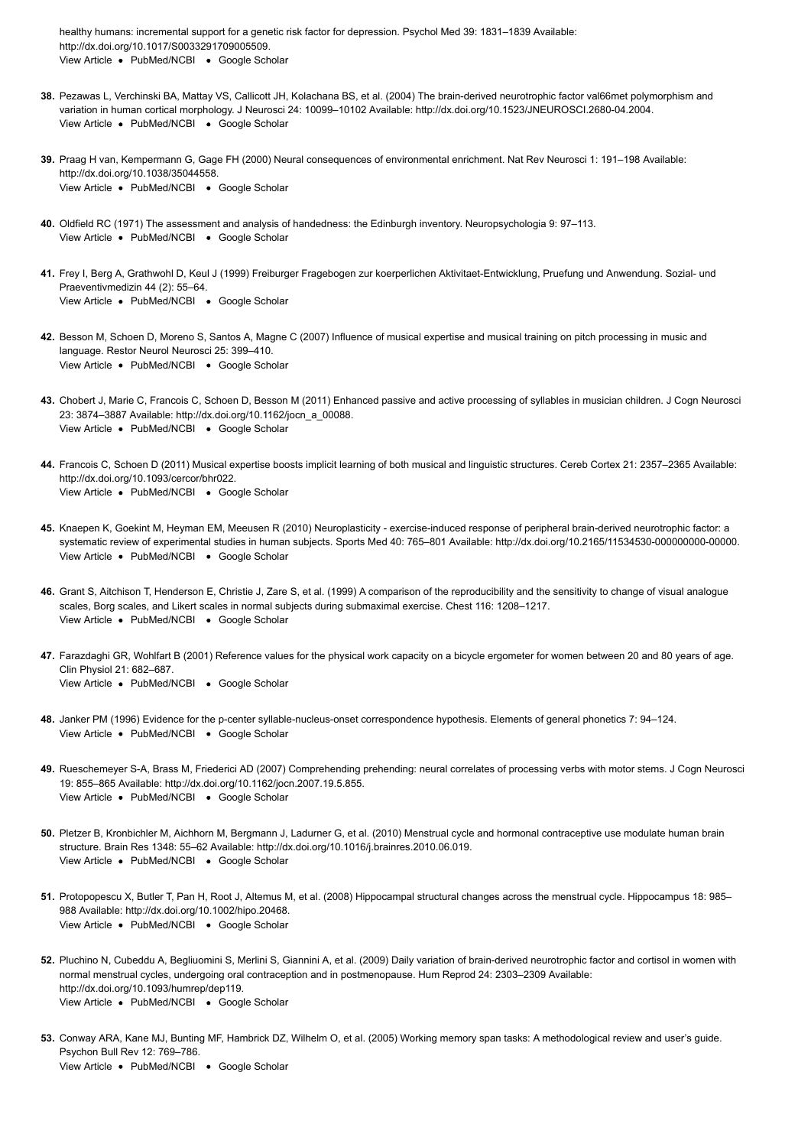[View Article](https://doi.org/http://dx.doi.org/10.1017/S0033291709005509) • [PubMed/NCBI](http://www.ncbi.nlm.nih.gov/entrez/query.fcgi?db=PubMed&cmd=Search&doptcmdl=Citation&defaultField=Title+Word&term=Montag%5Bauthor%5D+AND+The+BDNF+Val66Met+polymorphism+impacts+parahippocampal+and+amygdala+volume+in+healthy+humans%3A+incremental+support+for+a+genetic+risk+factor+for+depression) • [Google Scholar](http://scholar.google.com/scholar_lookup?title=The+BDNF+Val66Met+polymorphism+impacts+parahippocampal+and+amygdala+volume+in+healthy+humans%3A+incremental+support+for+a+genetic+risk+factor+for+depression&author=Montag&publication_year=2009) healthy humans: incremental support for a genetic risk factor for depression. Psychol Med 39: 1831–1839 Available: [http://dx.doi.org/10.1017/S0033291709005509.](http://dx.doi.org/10.1017/S0033291709005509)

- [View Article](https://doi.org/http://dx.doi.org/10.1523/JNEUROSCI.2680-04.2004) [PubMed/NCBI](http://www.ncbi.nlm.nih.gov/entrez/query.fcgi?db=PubMed&cmd=Search&doptcmdl=Citation&defaultField=Title+Word&term=Pezawas%5Bauthor%5D+AND+The+brain-derived+neurotrophic+factor+val66met+polymorphism+and+variation+in+human+cortical+morphology) [Google Scholar](http://scholar.google.com/scholar_lookup?title=The+brain-derived+neurotrophic+factor+val66met+polymorphism+and+variation+in+human+cortical+morphology&author=Pezawas&publication_year=2004) **38.** Pezawas L, Verchinski BA, Mattay VS, Callicott JH, Kolachana BS, et al. (2004) The brain-derived neurotrophic factor val66met polymorphism and variation in human cortical morphology. J Neurosci 24: 10099–10102 Available:<http://dx.doi.org/10.1523/JNEUROSCI.2680-04.2004>.
- [View Article](https://doi.org/http://dx.doi.org/10.1038/35044558) · [PubMed/NCBI](http://www.ncbi.nlm.nih.gov/entrez/query.fcgi?db=PubMed&cmd=Search&doptcmdl=Citation&defaultField=Title+Word&term=Praag+H%5Bauthor%5D+AND+Neural+consequences+of+environmental+enrichment) · [Google Scholar](http://scholar.google.com/scholar_lookup?title=Neural+consequences+of+environmental+enrichment&author=Praag+H&publication_year=2000) **39.** Praag H van, Kempermann G, Gage FH (2000) Neural consequences of environmental enrichment. Nat Rev Neurosci 1: 191–198 Available: [http://dx.doi.org/10.1038/35044558.](http://dx.doi.org/10.1038/35044558)
- [View Article](http://journals.plos.org/plosone/article?id=10.1371/journal.pone.0064172#) [PubMed/NCBI](http://www.ncbi.nlm.nih.gov/entrez/query.fcgi?db=PubMed&cmd=Search&doptcmdl=Citation&defaultField=Title+Word&term=Oldfield%5Bauthor%5D+AND+The+assessment+and+analysis+of+handedness%3A+the+Edinburgh+inventory) [Google Scholar](http://scholar.google.com/scholar_lookup?title=The+assessment+and+analysis+of+handedness%3A+the+Edinburgh+inventory&author=Oldfield&publication_year=1971) **40.** Oldfield RC (1971) The assessment and analysis of handedness: the Edinburgh inventory. Neuropsychologia 9: 97–113.
- [View Article](http://journals.plos.org/plosone/article?id=10.1371/journal.pone.0064172#) . [PubMed/NCBI](http://www.ncbi.nlm.nih.gov/entrez/query.fcgi?db=PubMed&cmd=Search&doptcmdl=Citation&defaultField=Title+Word&term=Frey%5Bauthor%5D+AND+Freiburger+Fragebogen+zur+koerperlichen+Aktivitaet-Entwicklung%2C+Pruefung+und+Anwendung) . [Google Scholar](http://scholar.google.com/scholar_lookup?title=Freiburger+Fragebogen+zur+koerperlichen+Aktivitaet-Entwicklung%2C+Pruefung+und+Anwendung&author=Frey&publication_year=1999) **41.** Frey I, Berg A, Grathwohl D, Keul J (1999) Freiburger Fragebogen zur koerperlichen Aktivitaet-Entwicklung, Pruefung und Anwendung. Sozial- und Praeventivmedizin 44 (2): 55–64.
- [View Article](http://journals.plos.org/plosone/article?id=10.1371/journal.pone.0064172#) [PubMed/NCBI](http://www.ncbi.nlm.nih.gov/entrez/query.fcgi?db=PubMed&cmd=Search&doptcmdl=Citation&defaultField=Title+Word&term=Besson%5Bauthor%5D+AND+Influence+of+musical+expertise+and+musical+training+on+pitch+processing+in+music+and+language) [Google Scholar](http://scholar.google.com/scholar_lookup?title=Influence+of+musical+expertise+and+musical+training+on+pitch+processing+in+music+and+language&author=Besson&publication_year=2007) **42.** Besson M, Schoen D, Moreno S, Santos A, Magne C (2007) Influence of musical expertise and musical training on pitch processing in music and language. Restor Neurol Neurosci 25: 399–410.
- [View Article](https://doi.org/http://dx.doi.org/10.1162/jocn_a_00088) [PubMed/NCBI](http://www.ncbi.nlm.nih.gov/entrez/query.fcgi?db=PubMed&cmd=Search&doptcmdl=Citation&defaultField=Title+Word&term=Chobert%5Bauthor%5D+AND+Enhanced+passive+and+active+processing+of+syllables+in+musician+children) [Google Scholar](http://scholar.google.com/scholar_lookup?title=Enhanced+passive+and+active+processing+of+syllables+in+musician+children&author=Chobert&publication_year=2011) **43.** Chobert J, Marie C, Francois C, Schoen D, Besson M (2011) Enhanced passive and active processing of syllables in musician children. J Cogn Neurosci 23: 3874–3887 Available: [http://dx.doi.org/10.1162/jocn\\_a\\_00088.](http://dx.doi.org/10.1162/jocn_a_00088)
- [View Article](https://doi.org/http://dx.doi.org/10.1093/cercor/bhr022) · [PubMed/NCBI](http://www.ncbi.nlm.nih.gov/entrez/query.fcgi?db=PubMed&cmd=Search&doptcmdl=Citation&defaultField=Title+Word&term=Francois%5Bauthor%5D+AND+Musical+expertise+boosts+implicit+learning+of+both+musical+and+linguistic+structures) · [Google Scholar](http://scholar.google.com/scholar_lookup?title=Musical+expertise+boosts+implicit+learning+of+both+musical+and+linguistic+structures&author=Francois&publication_year=2011) **44.** Francois C, Schoen D (2011) Musical expertise boosts implicit learning of both musical and linguistic structures. Cereb Cortex 21: 2357–2365 Available: [http://dx.doi.org/10.1093/cercor/bhr022.](http://dx.doi.org/10.1093/cercor/bhr022)
- [View Article](https://doi.org/http://dx.doi.org/10.2165/11534530-000000000-00000) · [PubMed/NCBI](http://www.ncbi.nlm.nih.gov/entrez/query.fcgi?db=PubMed&cmd=Search&doptcmdl=Citation&defaultField=Title+Word&term=Knaepen%5Bauthor%5D+AND+Neuroplasticity+-+exercise-induced+response+of+peripheral+brain-derived+neurotrophic+factor%3A+a+systematic+review+of+experimental+studies+in+human+subjects) · [Google Scholar](http://scholar.google.com/scholar_lookup?title=Neuroplasticity+-+exercise-induced+response+of+peripheral+brain-derived+neurotrophic+factor%3A+a+systematic+review+of+experimental+studies+in+human+subjects&author=Knaepen&publication_year=2010) **45.** Knaepen K, Goekint M, Heyman EM, Meeusen R (2010) Neuroplasticity - exercise-induced response of peripheral brain-derived neurotrophic factor: a systematic review of experimental studies in human subjects. Sports Med 40: 765–801 Available: <http://dx.doi.org/10.2165/11534530-000000000-00000>.
- [View Article](http://journals.plos.org/plosone/article?id=10.1371/journal.pone.0064172#) · [PubMed/NCBI](http://www.ncbi.nlm.nih.gov/entrez/query.fcgi?db=PubMed&cmd=Search&doptcmdl=Citation&defaultField=Title+Word&term=Grant%5Bauthor%5D+AND+A+comparison+of+the+reproducibility+and+the+sensitivity+to+change+of+visual+analogue+scales%2C+Borg+scales%2C+and+Likert+scales+in+normal+subjects+during+submaximal+exercise) · [Google Scholar](http://scholar.google.com/scholar_lookup?title=A+comparison+of+the+reproducibility+and+the+sensitivity+to+change+of+visual+analogue+scales%2C+Borg+scales%2C+and+Likert+scales+in+normal+subjects+during+submaximal+exercise&author=Grant&publication_year=1999) **46.** Grant S, Aitchison T, Henderson E, Christie J, Zare S, et al. (1999) A comparison of the reproducibility and the sensitivity to change of visual analogue scales, Borg scales, and Likert scales in normal subjects during submaximal exercise. Chest 116: 1208–1217.
- [View Article](http://journals.plos.org/plosone/article?id=10.1371/journal.pone.0064172#) · [PubMed/NCBI](http://www.ncbi.nlm.nih.gov/entrez/query.fcgi?db=PubMed&cmd=Search&doptcmdl=Citation&defaultField=Title+Word&term=Farazdaghi%5Bauthor%5D+AND+Reference+values+for+the+physical+work+capacity+on+a+bicycle+ergometer+for+women+between+20+and+80+years+of+age) · [Google Scholar](http://scholar.google.com/scholar_lookup?title=Reference+values+for+the+physical+work+capacity+on+a+bicycle+ergometer+for+women+between+20+and+80+years+of+age&author=Farazdaghi&publication_year=2001) **47.** Farazdaghi GR, Wohlfart B (2001) Reference values for the physical work capacity on a bicycle ergometer for women between 20 and 80 years of age. Clin Physiol 21: 682–687.
- [View Article](http://journals.plos.org/plosone/article?id=10.1371/journal.pone.0064172#) · [PubMed/NCBI](http://www.ncbi.nlm.nih.gov/entrez/query.fcgi?db=PubMed&cmd=Search&doptcmdl=Citation&defaultField=Title+Word&term=Janker%5Bauthor%5D+AND+Evidence+for+the+p-center+syllable-nucleus-onset+correspondence+hypothesis) · [Google Scholar](http://scholar.google.com/scholar_lookup?title=Evidence+for+the+p-center+syllable-nucleus-onset+correspondence+hypothesis&author=Janker&publication_year=1996) **48.** Janker PM (1996) Evidence for the p-center syllable-nucleus-onset correspondence hypothesis. Elements of general phonetics 7: 94–124.
- [View Article](https://doi.org/http://dx.doi.org/10.1162/jocn.2007.19.5.855) . [PubMed/NCBI](http://www.ncbi.nlm.nih.gov/entrez/query.fcgi?db=PubMed&cmd=Search&doptcmdl=Citation&defaultField=Title+Word&term=Rueschemeyer%5Bauthor%5D+AND+Comprehending+prehending%3A+neural+correlates+of+processing+verbs+with+motor+stems) . [Google Scholar](http://scholar.google.com/scholar_lookup?title=Comprehending+prehending%3A+neural+correlates+of+processing+verbs+with+motor+stems&author=Rueschemeyer&publication_year=2007) **49.** Rueschemeyer S-A, Brass M, Friederici AD (2007) Comprehending prehending: neural correlates of processing verbs with motor stems. J Cogn Neurosci 19: 855–865 Available: [http://dx.doi.org/10.1162/jocn.2007.19.5.855.](http://dx.doi.org/10.1162/jocn.2007.19.5.855)
- [View Article](https://doi.org/http://dx.doi.org/10.1016/j.brainres.2010.06.019) · [PubMed/NCBI](http://www.ncbi.nlm.nih.gov/entrez/query.fcgi?db=PubMed&cmd=Search&doptcmdl=Citation&defaultField=Title+Word&term=Pletzer%5Bauthor%5D+AND+Menstrual+cycle+and+hormonal+contraceptive+use+modulate+human+brain+structure) · [Google Scholar](http://scholar.google.com/scholar_lookup?title=Menstrual+cycle+and+hormonal+contraceptive+use+modulate+human+brain+structure&author=Pletzer&publication_year=2010) **50.** Pletzer B, Kronbichler M, Aichhorn M, Bergmann J, Ladurner G, et al. (2010) Menstrual cycle and hormonal contraceptive use modulate human brain structure. Brain Res 1348: 55–62 Available: <http://dx.doi.org/10.1016/j.brainres.2010.06.019>.
- [View Article](https://doi.org/http://dx.doi.org/10.1002/hipo.20468) · [PubMed/NCBI](http://www.ncbi.nlm.nih.gov/entrez/query.fcgi?db=PubMed&cmd=Search&doptcmdl=Citation&defaultField=Title+Word&term=Protopopescu%5Bauthor%5D+AND+Hippocampal+structural+changes+across+the+menstrual+cycle) · [Google Scholar](http://scholar.google.com/scholar_lookup?title=Hippocampal+structural+changes+across+the+menstrual+cycle&author=Protopopescu&publication_year=2008) **51.** Protopopescu X, Butler T, Pan H, Root J, Altemus M, et al. (2008) Hippocampal structural changes across the menstrual cycle. Hippocampus 18: 985– 988 Available:<http://dx.doi.org/10.1002/hipo.20468>.
- [View Article](https://doi.org/http://dx.doi.org/10.1093/humrep/dep119) · [PubMed/NCBI](http://www.ncbi.nlm.nih.gov/entrez/query.fcgi?db=PubMed&cmd=Search&doptcmdl=Citation&defaultField=Title+Word&term=Pluchino%5Bauthor%5D+AND+Daily+variation+of+brain-derived+neurotrophic+factor+and+cortisol+in+women+with+normal+menstrual+cycles%2C+undergoing+oral+contraception+and+in+postmenopause) · [Google Scholar](http://scholar.google.com/scholar_lookup?title=Daily+variation+of+brain-derived+neurotrophic+factor+and+cortisol+in+women+with+normal+menstrual+cycles%2C+undergoing+oral+contraception+and+in+postmenopause&author=Pluchino&publication_year=2009) **52.** Pluchino N, Cubeddu A, Begliuomini S, Merlini S, Giannini A, et al. (2009) Daily variation of brain-derived neurotrophic factor and cortisol in women with normal menstrual cycles, undergoing oral contraception and in postmenopause. Hum Reprod 24: 2303–2309 Available: <http://dx.doi.org/10.1093/humrep/dep119>.
- [View Article](http://journals.plos.org/plosone/article?id=10.1371/journal.pone.0064172#) · [PubMed/NCBI](http://www.ncbi.nlm.nih.gov/entrez/query.fcgi?db=PubMed&cmd=Search&doptcmdl=Citation&defaultField=Title+Word&term=Conway%5Bauthor%5D+AND+Working+memory+span+tasks%3A+A+methodological+review+and+user%E2%80%99s+guide) · [Google Scholar](http://scholar.google.com/scholar_lookup?title=Working+memory+span+tasks%3A+A+methodological+review+and+user%E2%80%99s+guide&author=Conway&publication_year=2005) **53.** Conway ARA, Kane MJ, Bunting MF, Hambrick DZ, Wilhelm O, et al. (2005) Working memory span tasks: A methodological review and user's guide. Psychon Bull Rev 12: 769–786.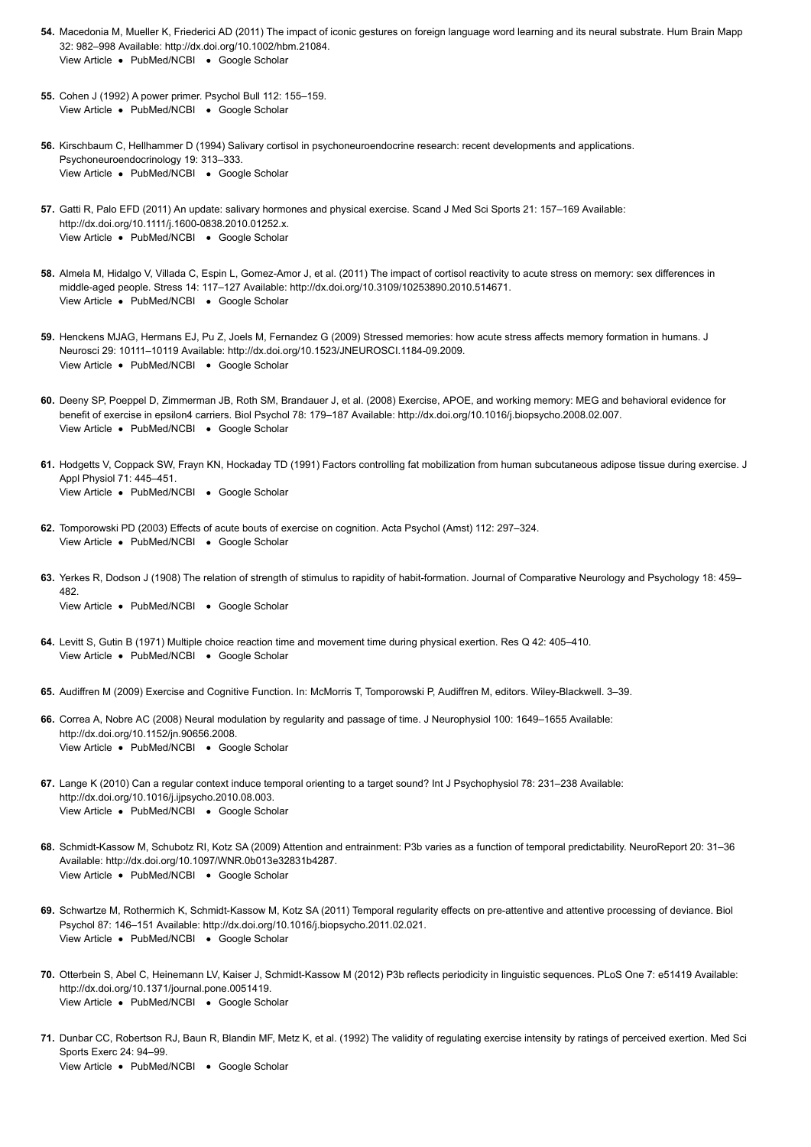- [View Article](https://doi.org/http://dx.doi.org/10.1002/hbm.21084) [PubMed/NCBI](http://www.ncbi.nlm.nih.gov/entrez/query.fcgi?db=PubMed&cmd=Search&doptcmdl=Citation&defaultField=Title+Word&term=Macedonia%5Bauthor%5D+AND+The+impact+of+iconic+gestures+on+foreign+language+word+learning+and+its+neural+substrate) [Google Scholar](http://scholar.google.com/scholar_lookup?title=The+impact+of+iconic+gestures+on+foreign+language+word+learning+and+its+neural+substrate&author=Macedonia&publication_year=2011) **54.** Macedonia M, Mueller K, Friederici AD (2011) The impact of iconic gestures on foreign language word learning and its neural substrate. Hum Brain Mapp 32: 982–998 Available: [http://dx.doi.org/10.1002/hbm.21084.](http://dx.doi.org/10.1002/hbm.21084)
- [View Article](http://journals.plos.org/plosone/article?id=10.1371/journal.pone.0064172#) · [PubMed/NCBI](http://www.ncbi.nlm.nih.gov/entrez/query.fcgi?db=PubMed&cmd=Search&doptcmdl=Citation&defaultField=Title+Word&term=Cohen%5Bauthor%5D+AND+A+power+primer) · [Google Scholar](http://scholar.google.com/scholar_lookup?title=A+power+primer&author=Cohen&publication_year=1992) **55.** Cohen J (1992) A power primer. Psychol Bull 112: 155–159.
- [View Article](http://journals.plos.org/plosone/article?id=10.1371/journal.pone.0064172#) · [PubMed/NCBI](http://www.ncbi.nlm.nih.gov/entrez/query.fcgi?db=PubMed&cmd=Search&doptcmdl=Citation&defaultField=Title+Word&term=Kirschbaum%5Bauthor%5D+AND+Salivary+cortisol+in+psychoneuroendocrine+research%3A+recent+developments+and+applications) · [Google Scholar](http://scholar.google.com/scholar_lookup?title=Salivary+cortisol+in+psychoneuroendocrine+research%3A+recent+developments+and+applications&author=Kirschbaum&publication_year=1994) **56.** Kirschbaum C, Hellhammer D (1994) Salivary cortisol in psychoneuroendocrine research: recent developments and applications. Psychoneuroendocrinology 19: 313–333.
- [View Article](https://doi.org/http://dx.doi.org/10.1111/j.1600-0838.2010.01252.x) [PubMed/NCBI](http://www.ncbi.nlm.nih.gov/entrez/query.fcgi?db=PubMed&cmd=Search&doptcmdl=Citation&defaultField=Title+Word&term=Gatti%5Bauthor%5D+AND+An+update%3A+salivary+hormones+and+physical+exercise) [Google Scholar](http://scholar.google.com/scholar_lookup?title=An+update%3A+salivary+hormones+and+physical+exercise&author=Gatti&publication_year=2011) **57.** Gatti R, Palo EFD (2011) An update: salivary hormones and physical exercise. Scand J Med Sci Sports 21: 157–169 Available: <http://dx.doi.org/10.1111/j.1600-0838.2010.01252.x>.
- [View Article](https://doi.org/http://dx.doi.org/10.3109/10253890.2010.514671) . [PubMed/NCBI](http://www.ncbi.nlm.nih.gov/entrez/query.fcgi?db=PubMed&cmd=Search&doptcmdl=Citation&defaultField=Title+Word&term=Almela%5Bauthor%5D+AND+The+impact+of+cortisol+reactivity+to+acute+stress+on+memory%3A+sex+differences+in+middle-aged+people) . [Google Scholar](http://scholar.google.com/scholar_lookup?title=The+impact+of+cortisol+reactivity+to+acute+stress+on+memory%3A+sex+differences+in+middle-aged+people&author=Almela&publication_year=2011) **58.** Almela M, Hidalgo V, Villada C, Espin L, Gomez-Amor J, et al. (2011) The impact of cortisol reactivity to acute stress on memory: sex differences in middle-aged people. Stress 14: 117–127 Available: [http://dx.doi.org/10.3109/10253890.2010.514671.](http://dx.doi.org/10.3109/10253890.2010.514671)
- [View Article](https://doi.org/http://dx.doi.org/10.1523/JNEUROSCI.1184-09.2009) . [PubMed/NCBI](http://www.ncbi.nlm.nih.gov/entrez/query.fcgi?db=PubMed&cmd=Search&doptcmdl=Citation&defaultField=Title+Word&term=Henckens%5Bauthor%5D+AND+Stressed+memories%3A+how+acute+stress+affects+memory+formation+in+humans) . [Google Scholar](http://scholar.google.com/scholar_lookup?title=Stressed+memories%3A+how+acute+stress+affects+memory+formation+in+humans&author=Henckens&publication_year=2009) **59.** Henckens MJAG, Hermans EJ, Pu Z, Joels M, Fernandez G (2009) Stressed memories: how acute stress affects memory formation in humans. J Neurosci 29: 10111–10119 Available: <http://dx.doi.org/10.1523/JNEUROSCI.1184-09.2009>.
- [View Article](https://doi.org/http://dx.doi.org/10.1016/j.biopsycho.2008.02.007) [PubMed/NCBI](http://www.ncbi.nlm.nih.gov/entrez/query.fcgi?db=PubMed&cmd=Search&doptcmdl=Citation&defaultField=Title+Word&term=Deeny%5Bauthor%5D+AND+Exercise%2C+APOE%2C+and+working+memory%3A+MEG+and+behavioral+evidence+for+benefit+of+exercise+in+epsilon4+carriers) [Google Scholar](http://scholar.google.com/scholar_lookup?title=Exercise%2C+APOE%2C+and+working+memory%3A+MEG+and+behavioral+evidence+for+benefit+of+exercise+in+epsilon4+carriers&author=Deeny&publication_year=2008) **60.** Deeny SP, Poeppel D, Zimmerman JB, Roth SM, Brandauer J, et al. (2008) Exercise, APOE, and working memory: MEG and behavioral evidence for benefit of exercise in epsilon4 carriers. Biol Psychol 78: 179–187 Available: [http://dx.doi.org/10.1016/j.biopsycho.2008.02.007.](http://dx.doi.org/10.1016/j.biopsycho.2008.02.007)
- [View Article](http://journals.plos.org/plosone/article?id=10.1371/journal.pone.0064172#) [PubMed/NCBI](http://www.ncbi.nlm.nih.gov/entrez/query.fcgi?db=PubMed&cmd=Search&doptcmdl=Citation&defaultField=Title+Word&term=Hodgetts%5Bauthor%5D+AND+Factors+controlling+fat+mobilization+from+human+subcutaneous+adipose+tissue+during+exercise) [Google Scholar](http://scholar.google.com/scholar_lookup?title=Factors+controlling+fat+mobilization+from+human+subcutaneous+adipose+tissue+during+exercise&author=Hodgetts&publication_year=1991) **61.** Hodgetts V, Coppack SW, Frayn KN, Hockaday TD (1991) Factors controlling fat mobilization from human subcutaneous adipose tissue during exercise. J Appl Physiol 71: 445–451.
- [View Article](http://journals.plos.org/plosone/article?id=10.1371/journal.pone.0064172#) · [PubMed/NCBI](http://www.ncbi.nlm.nih.gov/entrez/query.fcgi?db=PubMed&cmd=Search&doptcmdl=Citation&defaultField=Title+Word&term=Tomporowski%5Bauthor%5D+AND+Effects+of+acute+bouts+of+exercise+on+cognition) · [Google Scholar](http://scholar.google.com/scholar_lookup?title=Effects+of+acute+bouts+of+exercise+on+cognition&author=Tomporowski&publication_year=2003) **62.** Tomporowski PD (2003) Effects of acute bouts of exercise on cognition. Acta Psychol (Amst) 112: 297–324.
- [View Article](http://journals.plos.org/plosone/article?id=10.1371/journal.pone.0064172#) [PubMed/NCBI](http://www.ncbi.nlm.nih.gov/entrez/query.fcgi?db=PubMed&cmd=Search&doptcmdl=Citation&defaultField=Title+Word&term=Yerkes%5Bauthor%5D+AND+The+relation+of+strength+of+stimulus+to+rapidity+of+habit-formation) [Google Scholar](http://scholar.google.com/scholar_lookup?title=The+relation+of+strength+of+stimulus+to+rapidity+of+habit-formation&author=Yerkes&publication_year=1908) **63.** Yerkes R, Dodson J (1908) The relation of strength of stimulus to rapidity of habit-formation. Journal of Comparative Neurology and Psychology 18: 459– 482.
- [View Article](http://journals.plos.org/plosone/article?id=10.1371/journal.pone.0064172#) [PubMed/NCBI](http://www.ncbi.nlm.nih.gov/entrez/query.fcgi?db=PubMed&cmd=Search&doptcmdl=Citation&defaultField=Title+Word&term=Levitt%5Bauthor%5D+AND+Multiple+choice+reaction+time+and+movement+time+during+physical+exertion) [Google Scholar](http://scholar.google.com/scholar_lookup?title=Multiple+choice+reaction+time+and+movement+time+during+physical+exertion&author=Levitt&publication_year=1971) **64.** Levitt S, Gutin B (1971) Multiple choice reaction time and movement time during physical exertion. Res Q 42: 405–410.
- **65.** Audiffren M (2009) Exercise and Cognitive Function. In: McMorris T, Tomporowski P, Audiffren M, editors. Wiley-Blackwell. 3–39.
- [View Article](https://doi.org/http://dx.doi.org/10.1152/jn.90656.2008) · [PubMed/NCBI](http://www.ncbi.nlm.nih.gov/entrez/query.fcgi?db=PubMed&cmd=Search&doptcmdl=Citation&defaultField=Title+Word&term=Correa%5Bauthor%5D+AND+Neural+modulation+by+regularity+and+passage+of+time) · [Google Scholar](http://scholar.google.com/scholar_lookup?title=Neural+modulation+by+regularity+and+passage+of+time&author=Correa&publication_year=2008) **66.** Correa A, Nobre AC (2008) Neural modulation by regularity and passage of time. J Neurophysiol 100: 1649–1655 Available: <http://dx.doi.org/10.1152/jn.90656.2008>.
- [View Article](https://doi.org/http://dx.doi.org/10.1016/j.ijpsycho.2010.08.003) [PubMed/NCBI](http://www.ncbi.nlm.nih.gov/entrez/query.fcgi?db=PubMed&cmd=Search&doptcmdl=Citation&defaultField=Title+Word&term=Lange%5Bauthor%5D+AND+Can+a+regular+context+induce+temporal+orienting+to+a+target+sound%3F) [Google Scholar](http://scholar.google.com/scholar_lookup?title=Can+a+regular+context+induce+temporal+orienting+to+a+target+sound%3F&author=Lange&publication_year=2010) **67.** Lange K (2010) Can a regular context induce temporal orienting to a target sound? Int J Psychophysiol 78: 231–238 Available: <http://dx.doi.org/10.1016/j.ijpsycho.2010.08.003>.
- [View Article](https://doi.org/http://dx.doi.org/10.1097/WNR.0b013e32831b4287) [PubMed/NCBI](http://www.ncbi.nlm.nih.gov/entrez/query.fcgi?db=PubMed&cmd=Search&doptcmdl=Citation&defaultField=Title+Word&term=Schmidt-Kassow%5Bauthor%5D+AND+Attention+and+entrainment%3A+P3b+varies+as+a+function+of+temporal+predictability) [Google Scholar](http://scholar.google.com/scholar_lookup?title=Attention+and+entrainment%3A+P3b+varies+as+a+function+of+temporal+predictability&author=Schmidt-Kassow&publication_year=2009) **68.** Schmidt-Kassow M, Schubotz RI, Kotz SA (2009) Attention and entrainment: P3b varies as a function of temporal predictability. NeuroReport 20: 31–36 Available: [http://dx.doi.org/10.1097/WNR.0b013e32831b4287.](http://dx.doi.org/10.1097/WNR.0b013e32831b4287)
- [View Article](https://doi.org/http://dx.doi.org/10.1016/j.biopsycho.2011.02.021) . [PubMed/NCBI](http://www.ncbi.nlm.nih.gov/entrez/query.fcgi?db=PubMed&cmd=Search&doptcmdl=Citation&defaultField=Title+Word&term=Schwartze%5Bauthor%5D+AND+Temporal+regularity+effects+on+pre-attentive+and+attentive+processing+of+deviance) . [Google Scholar](http://scholar.google.com/scholar_lookup?title=Temporal+regularity+effects+on+pre-attentive+and+attentive+processing+of+deviance&author=Schwartze&publication_year=2011) **69.** Schwartze M, Rothermich K, Schmidt-Kassow M, Kotz SA (2011) Temporal regularity effects on pre-attentive and attentive processing of deviance. Biol Psychol 87: 146–151 Available:<http://dx.doi.org/10.1016/j.biopsycho.2011.02.021>.
- [View Article](https://doi.org/http://dx.doi.org/10.1371/journal.pone.0051419) [PubMed/NCBI](http://www.ncbi.nlm.nih.gov/entrez/query.fcgi?db=PubMed&cmd=Search&doptcmdl=Citation&defaultField=Title+Word&term=Otterbein%5Bauthor%5D+AND+P3b+reflects+periodicity+in+linguistic+sequences) [Google Scholar](http://scholar.google.com/scholar_lookup?title=P3b+reflects+periodicity+in+linguistic+sequences&author=Otterbein&publication_year=2012) **70.** Otterbein S, Abel C, Heinemann LV, Kaiser J, Schmidt-Kassow M (2012) P3b reflects periodicity in linguistic sequences. PLoS One 7: e51419 Available: [http://dx.doi.org/10.1371/journal.pone.0051419.](http://dx.doi.org/10.1371/journal.pone.0051419)
- [View Article](http://journals.plos.org/plosone/article?id=10.1371/journal.pone.0064172#) · [PubMed/NCBI](http://www.ncbi.nlm.nih.gov/entrez/query.fcgi?db=PubMed&cmd=Search&doptcmdl=Citation&defaultField=Title+Word&term=Dunbar%5Bauthor%5D+AND+The+validity+of+regulating+exercise+intensity+by+ratings+of+perceived+exertion) · [Google Scholar](http://scholar.google.com/scholar_lookup?title=The+validity+of+regulating+exercise+intensity+by+ratings+of+perceived+exertion&author=Dunbar&publication_year=1992) **71.** Dunbar CC, Robertson RJ, Baun R, Blandin MF, Metz K, et al. (1992) The validity of regulating exercise intensity by ratings of perceived exertion. Med Sci Sports Exerc 24: 94–99.